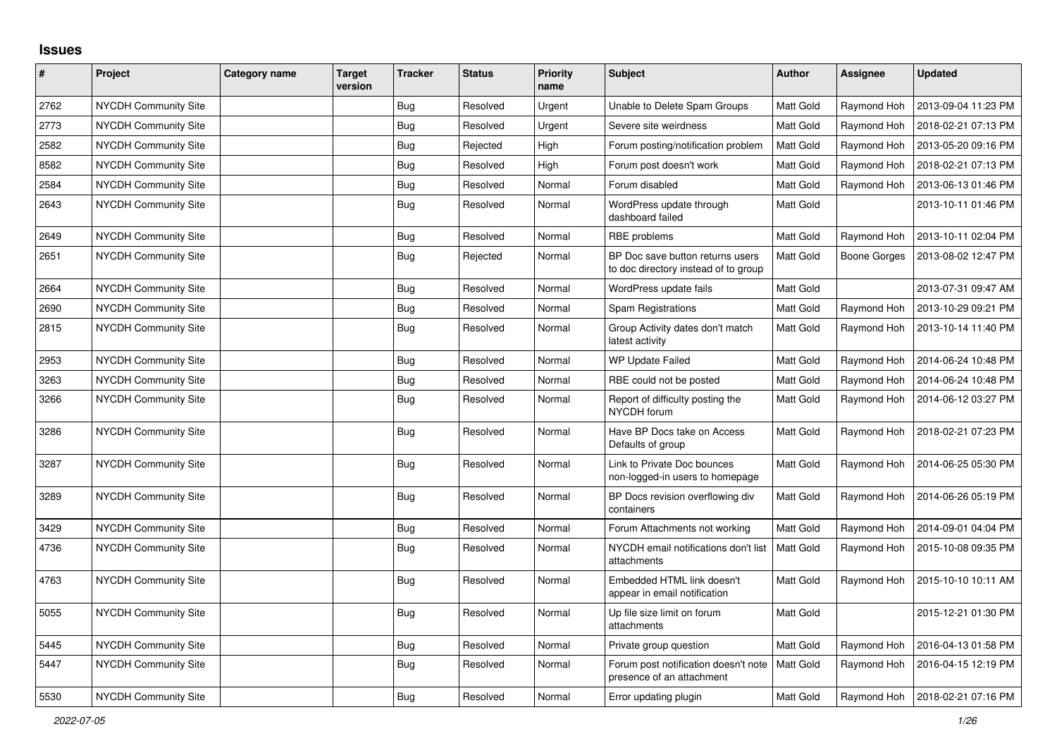## **Issues**

| $\sharp$ | Project                     | Category name | <b>Target</b><br>version | <b>Tracker</b> | <b>Status</b> | <b>Priority</b><br>name | <b>Subject</b>                                                           | <b>Author</b>    | <b>Assignee</b>     | <b>Updated</b>      |
|----------|-----------------------------|---------------|--------------------------|----------------|---------------|-------------------------|--------------------------------------------------------------------------|------------------|---------------------|---------------------|
| 2762     | NYCDH Community Site        |               |                          | Bug            | Resolved      | Urgent                  | Unable to Delete Spam Groups                                             | Matt Gold        | Raymond Hoh         | 2013-09-04 11:23 PM |
| 2773     | NYCDH Community Site        |               |                          | Bug            | Resolved      | Urgent                  | Severe site weirdness                                                    | Matt Gold        | Raymond Hoh         | 2018-02-21 07:13 PM |
| 2582     | NYCDH Community Site        |               |                          | Bug            | Rejected      | High                    | Forum posting/notification problem                                       | Matt Gold        | Raymond Hoh         | 2013-05-20 09:16 PM |
| 8582     | NYCDH Community Site        |               |                          | Bug            | Resolved      | High                    | Forum post doesn't work                                                  | Matt Gold        | Raymond Hoh         | 2018-02-21 07:13 PM |
| 2584     | NYCDH Community Site        |               |                          | Bug            | Resolved      | Normal                  | Forum disabled                                                           | Matt Gold        | Raymond Hoh         | 2013-06-13 01:46 PM |
| 2643     | NYCDH Community Site        |               |                          | <b>Bug</b>     | Resolved      | Normal                  | WordPress update through<br>dashboard failed                             | Matt Gold        |                     | 2013-10-11 01:46 PM |
| 2649     | <b>NYCDH Community Site</b> |               |                          | <b>Bug</b>     | Resolved      | Normal                  | RBE problems                                                             | Matt Gold        | Raymond Hoh         | 2013-10-11 02:04 PM |
| 2651     | <b>NYCDH Community Site</b> |               |                          | Bug            | Rejected      | Normal                  | BP Doc save button returns users<br>to doc directory instead of to group | Matt Gold        | <b>Boone Gorges</b> | 2013-08-02 12:47 PM |
| 2664     | <b>NYCDH Community Site</b> |               |                          | Bug            | Resolved      | Normal                  | WordPress update fails                                                   | Matt Gold        |                     | 2013-07-31 09:47 AM |
| 2690     | NYCDH Community Site        |               |                          | <b>Bug</b>     | Resolved      | Normal                  | <b>Spam Registrations</b>                                                | Matt Gold        | Raymond Hoh         | 2013-10-29 09:21 PM |
| 2815     | <b>NYCDH Community Site</b> |               |                          | Bug            | Resolved      | Normal                  | Group Activity dates don't match<br>latest activity                      | Matt Gold        | Raymond Hoh         | 2013-10-14 11:40 PM |
| 2953     | NYCDH Community Site        |               |                          | <b>Bug</b>     | Resolved      | Normal                  | <b>WP Update Failed</b>                                                  | Matt Gold        | Raymond Hoh         | 2014-06-24 10:48 PM |
| 3263     | <b>NYCDH Community Site</b> |               |                          | Bug            | Resolved      | Normal                  | RBE could not be posted                                                  | Matt Gold        | Raymond Hoh         | 2014-06-24 10:48 PM |
| 3266     | <b>NYCDH Community Site</b> |               |                          | Bug            | Resolved      | Normal                  | Report of difficulty posting the<br>NYCDH forum                          | Matt Gold        | Raymond Hoh         | 2014-06-12 03:27 PM |
| 3286     | NYCDH Community Site        |               |                          | Bug            | Resolved      | Normal                  | Have BP Docs take on Access<br>Defaults of group                         | Matt Gold        | Raymond Hoh         | 2018-02-21 07:23 PM |
| 3287     | <b>NYCDH Community Site</b> |               |                          | <b>Bug</b>     | Resolved      | Normal                  | Link to Private Doc bounces<br>non-logged-in users to homepage           | <b>Matt Gold</b> | Raymond Hoh         | 2014-06-25 05:30 PM |
| 3289     | <b>NYCDH Community Site</b> |               |                          | Bug            | Resolved      | Normal                  | BP Docs revision overflowing div<br>containers                           | Matt Gold        | Raymond Hoh         | 2014-06-26 05:19 PM |
| 3429     | <b>NYCDH Community Site</b> |               |                          | Bug            | Resolved      | Normal                  | Forum Attachments not working                                            | Matt Gold        | Raymond Hoh         | 2014-09-01 04:04 PM |
| 4736     | <b>NYCDH Community Site</b> |               |                          | <b>Bug</b>     | Resolved      | Normal                  | NYCDH email notifications don't list<br>attachments                      | <b>Matt Gold</b> | Raymond Hoh         | 2015-10-08 09:35 PM |
| 4763     | <b>NYCDH Community Site</b> |               |                          | Bug            | Resolved      | Normal                  | Embedded HTML link doesn't<br>appear in email notification               | Matt Gold        | Raymond Hoh         | 2015-10-10 10:11 AM |
| 5055     | <b>NYCDH Community Site</b> |               |                          | Bug            | Resolved      | Normal                  | Up file size limit on forum<br>attachments                               | Matt Gold        |                     | 2015-12-21 01:30 PM |
| 5445     | NYCDH Community Site        |               |                          | Bug            | Resolved      | Normal                  | Private group question                                                   | Matt Gold        | Raymond Hoh         | 2016-04-13 01:58 PM |
| 5447     | <b>NYCDH Community Site</b> |               |                          | Bug            | Resolved      | Normal                  | Forum post notification doesn't note<br>presence of an attachment        | Matt Gold        | Raymond Hoh         | 2016-04-15 12:19 PM |
| 5530     | NYCDH Community Site        |               |                          | Bug            | Resolved      | Normal                  | Error updating plugin                                                    | Matt Gold        | Raymond Hoh         | 2018-02-21 07:16 PM |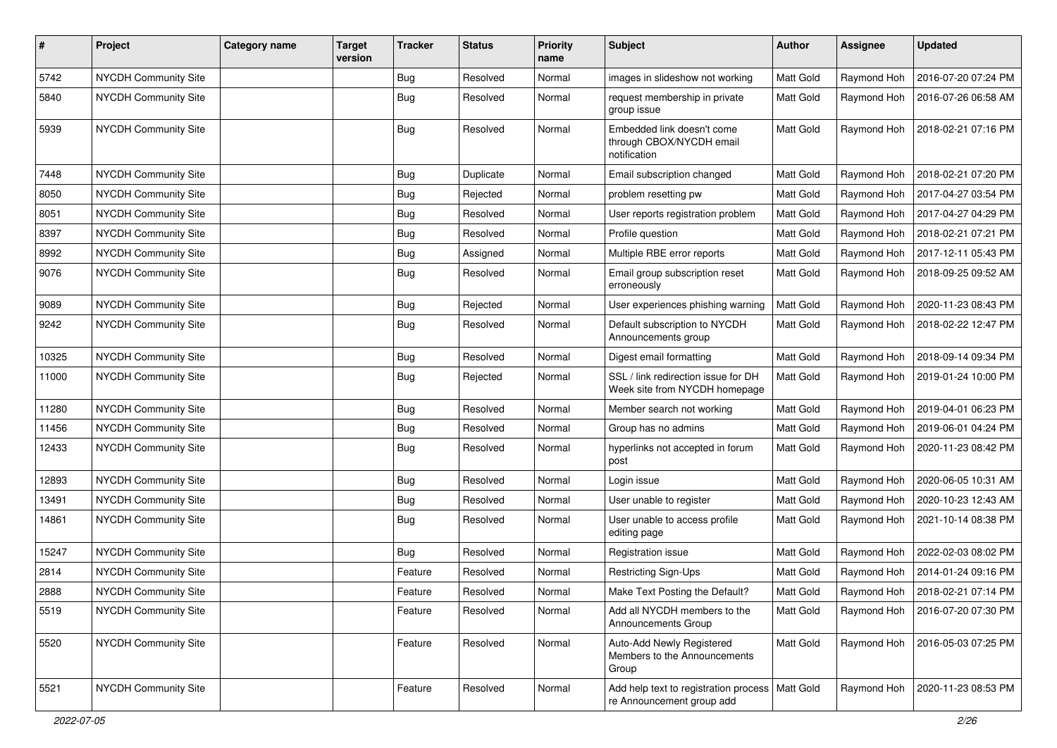| $\pmb{\#}$ | Project                     | <b>Category name</b> | <b>Target</b><br>version | <b>Tracker</b> | <b>Status</b> | <b>Priority</b><br>name | <b>Subject</b>                                                                 | Author           | <b>Assignee</b> | <b>Updated</b>      |
|------------|-----------------------------|----------------------|--------------------------|----------------|---------------|-------------------------|--------------------------------------------------------------------------------|------------------|-----------------|---------------------|
| 5742       | <b>NYCDH Community Site</b> |                      |                          | <b>Bug</b>     | Resolved      | Normal                  | images in slideshow not working                                                | Matt Gold        | Raymond Hoh     | 2016-07-20 07:24 PM |
| 5840       | NYCDH Community Site        |                      |                          | Bug            | Resolved      | Normal                  | request membership in private<br>group issue                                   | <b>Matt Gold</b> | Raymond Hoh     | 2016-07-26 06:58 AM |
| 5939       | NYCDH Community Site        |                      |                          | <b>Bug</b>     | Resolved      | Normal                  | Embedded link doesn't come<br>through CBOX/NYCDH email<br>notification         | Matt Gold        | Raymond Hoh     | 2018-02-21 07:16 PM |
| 7448       | <b>NYCDH Community Site</b> |                      |                          | Bug            | Duplicate     | Normal                  | Email subscription changed                                                     | Matt Gold        | Raymond Hoh     | 2018-02-21 07:20 PM |
| 8050       | NYCDH Community Site        |                      |                          | Bug            | Rejected      | Normal                  | problem resetting pw                                                           | Matt Gold        | Raymond Hoh     | 2017-04-27 03:54 PM |
| 8051       | NYCDH Community Site        |                      |                          | Bug            | Resolved      | Normal                  | User reports registration problem                                              | Matt Gold        | Raymond Hoh     | 2017-04-27 04:29 PM |
| 8397       | NYCDH Community Site        |                      |                          | Bug            | Resolved      | Normal                  | Profile question                                                               | Matt Gold        | Raymond Hoh     | 2018-02-21 07:21 PM |
| 8992       | NYCDH Community Site        |                      |                          | <b>Bug</b>     | Assigned      | Normal                  | Multiple RBE error reports                                                     | Matt Gold        | Raymond Hoh     | 2017-12-11 05:43 PM |
| 9076       | NYCDH Community Site        |                      |                          | <b>Bug</b>     | Resolved      | Normal                  | Email group subscription reset<br>erroneously                                  | Matt Gold        | Raymond Hoh     | 2018-09-25 09:52 AM |
| 9089       | <b>NYCDH Community Site</b> |                      |                          | Bug            | Rejected      | Normal                  | User experiences phishing warning                                              | Matt Gold        | Raymond Hoh     | 2020-11-23 08:43 PM |
| 9242       | NYCDH Community Site        |                      |                          | <b>Bug</b>     | Resolved      | Normal                  | Default subscription to NYCDH<br>Announcements group                           | Matt Gold        | Raymond Hoh     | 2018-02-22 12:47 PM |
| 10325      | <b>NYCDH Community Site</b> |                      |                          | <b>Bug</b>     | Resolved      | Normal                  | Digest email formatting                                                        | Matt Gold        | Raymond Hoh     | 2018-09-14 09:34 PM |
| 11000      | NYCDH Community Site        |                      |                          | Bug            | Rejected      | Normal                  | SSL / link redirection issue for DH<br>Week site from NYCDH homepage           | Matt Gold        | Raymond Hoh     | 2019-01-24 10:00 PM |
| 11280      | NYCDH Community Site        |                      |                          | <b>Bug</b>     | Resolved      | Normal                  | Member search not working                                                      | Matt Gold        | Raymond Hoh     | 2019-04-01 06:23 PM |
| 11456      | NYCDH Community Site        |                      |                          | Bug            | Resolved      | Normal                  | Group has no admins                                                            | Matt Gold        | Raymond Hoh     | 2019-06-01 04:24 PM |
| 12433      | NYCDH Community Site        |                      |                          | <b>Bug</b>     | Resolved      | Normal                  | hyperlinks not accepted in forum<br>post                                       | <b>Matt Gold</b> | Raymond Hoh     | 2020-11-23 08:42 PM |
| 12893      | <b>NYCDH Community Site</b> |                      |                          | <b>Bug</b>     | Resolved      | Normal                  | Login issue                                                                    | Matt Gold        | Raymond Hoh     | 2020-06-05 10:31 AM |
| 13491      | NYCDH Community Site        |                      |                          | <b>Bug</b>     | Resolved      | Normal                  | User unable to register                                                        | Matt Gold        | Raymond Hoh     | 2020-10-23 12:43 AM |
| 14861      | NYCDH Community Site        |                      |                          | <b>Bug</b>     | Resolved      | Normal                  | User unable to access profile<br>editing page                                  | Matt Gold        | Raymond Hoh     | 2021-10-14 08:38 PM |
| 15247      | <b>NYCDH Community Site</b> |                      |                          | <b>Bug</b>     | Resolved      | Normal                  | Registration issue                                                             | Matt Gold        | Raymond Hoh     | 2022-02-03 08:02 PM |
| 2814       | NYCDH Community Site        |                      |                          | Feature        | Resolved      | Normal                  | Restricting Sign-Ups                                                           | Matt Gold        | Raymond Hoh     | 2014-01-24 09:16 PM |
| 2888       | NYCDH Community Site        |                      |                          | Feature        | Resolved      | Normal                  | Make Text Posting the Default?                                                 | Matt Gold        | Raymond Hoh     | 2018-02-21 07:14 PM |
| 5519       | NYCDH Community Site        |                      |                          | Feature        | Resolved      | Normal                  | Add all NYCDH members to the<br>Announcements Group                            | Matt Gold        | Raymond Hoh     | 2016-07-20 07:30 PM |
| 5520       | <b>NYCDH Community Site</b> |                      |                          | Feature        | Resolved      | Normal                  | Auto-Add Newly Registered<br>Members to the Announcements<br>Group             | Matt Gold        | Raymond Hoh     | 2016-05-03 07:25 PM |
| 5521       | NYCDH Community Site        |                      |                          | Feature        | Resolved      | Normal                  | Add help text to registration process   Matt Gold<br>re Announcement group add |                  | Raymond Hoh     | 2020-11-23 08:53 PM |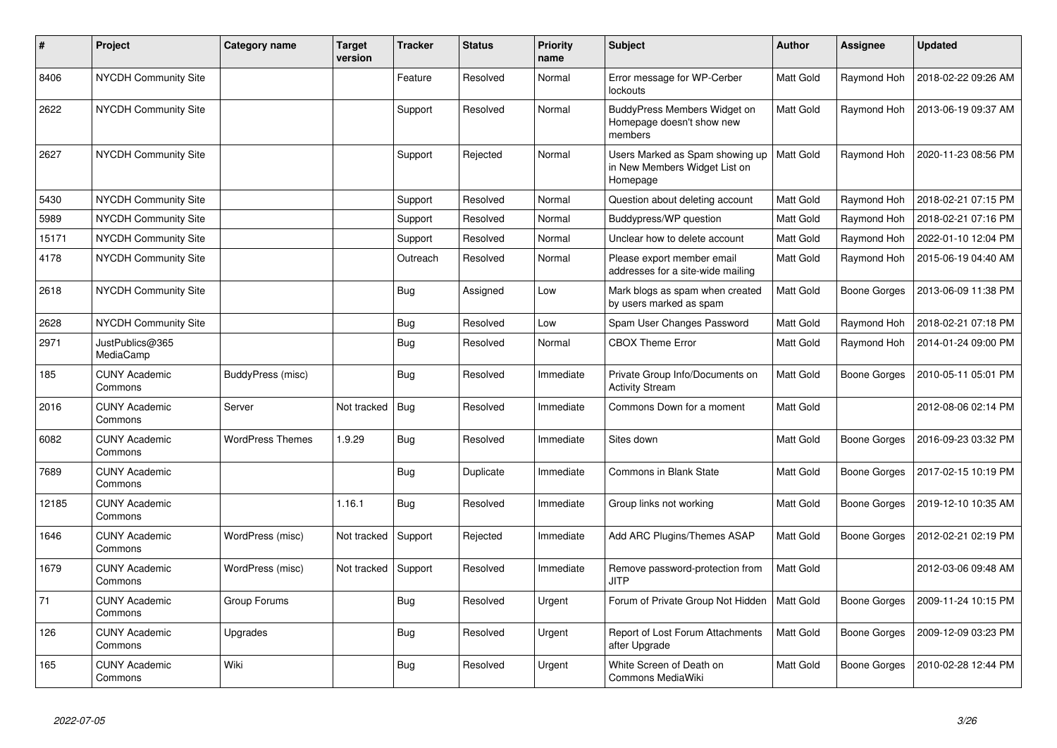| #     | Project                         | Category name           | <b>Target</b><br>version | <b>Tracker</b> | <b>Status</b> | <b>Priority</b><br>name | <b>Subject</b>                                                               | Author           | Assignee            | <b>Updated</b>      |
|-------|---------------------------------|-------------------------|--------------------------|----------------|---------------|-------------------------|------------------------------------------------------------------------------|------------------|---------------------|---------------------|
| 8406  | <b>NYCDH Community Site</b>     |                         |                          | Feature        | Resolved      | Normal                  | Error message for WP-Cerber<br>lockouts                                      | <b>Matt Gold</b> | Raymond Hoh         | 2018-02-22 09:26 AM |
| 2622  | <b>NYCDH Community Site</b>     |                         |                          | Support        | Resolved      | Normal                  | BuddyPress Members Widget on<br>Homepage doesn't show new<br>members         | <b>Matt Gold</b> | Raymond Hoh         | 2013-06-19 09:37 AM |
| 2627  | <b>NYCDH Community Site</b>     |                         |                          | Support        | Rejected      | Normal                  | Users Marked as Spam showing up<br>in New Members Widget List on<br>Homepage | Matt Gold        | Raymond Hoh         | 2020-11-23 08:56 PM |
| 5430  | <b>NYCDH Community Site</b>     |                         |                          | Support        | Resolved      | Normal                  | Question about deleting account                                              | <b>Matt Gold</b> | Raymond Hoh         | 2018-02-21 07:15 PM |
| 5989  | <b>NYCDH Community Site</b>     |                         |                          | Support        | Resolved      | Normal                  | Buddypress/WP question                                                       | Matt Gold        | Raymond Hoh         | 2018-02-21 07:16 PM |
| 15171 | <b>NYCDH Community Site</b>     |                         |                          | Support        | Resolved      | Normal                  | Unclear how to delete account                                                | Matt Gold        | Raymond Hoh         | 2022-01-10 12:04 PM |
| 4178  | <b>NYCDH Community Site</b>     |                         |                          | Outreach       | Resolved      | Normal                  | Please export member email<br>addresses for a site-wide mailing              | <b>Matt Gold</b> | Raymond Hoh         | 2015-06-19 04:40 AM |
| 2618  | <b>NYCDH Community Site</b>     |                         |                          | <b>Bug</b>     | Assigned      | Low                     | Mark blogs as spam when created<br>by users marked as spam                   | <b>Matt Gold</b> | <b>Boone Gorges</b> | 2013-06-09 11:38 PM |
| 2628  | NYCDH Community Site            |                         |                          | Bug            | Resolved      | Low                     | Spam User Changes Password                                                   | Matt Gold        | Raymond Hoh         | 2018-02-21 07:18 PM |
| 2971  | JustPublics@365<br>MediaCamp    |                         |                          | <b>Bug</b>     | Resolved      | Normal                  | <b>CBOX Theme Error</b>                                                      | Matt Gold        | Raymond Hoh         | 2014-01-24 09:00 PM |
| 185   | <b>CUNY Academic</b><br>Commons | BuddyPress (misc)       |                          | <b>Bug</b>     | Resolved      | Immediate               | Private Group Info/Documents on<br><b>Activity Stream</b>                    | Matt Gold        | <b>Boone Gorges</b> | 2010-05-11 05:01 PM |
| 2016  | <b>CUNY Academic</b><br>Commons | Server                  | Not tracked              | Bug            | Resolved      | Immediate               | Commons Down for a moment                                                    | Matt Gold        |                     | 2012-08-06 02:14 PM |
| 6082  | <b>CUNY Academic</b><br>Commons | <b>WordPress Themes</b> | 1.9.29                   | <b>Bug</b>     | Resolved      | Immediate               | Sites down                                                                   | Matt Gold        | <b>Boone Gorges</b> | 2016-09-23 03:32 PM |
| 7689  | <b>CUNY Academic</b><br>Commons |                         |                          | Bug            | Duplicate     | Immediate               | Commons in Blank State                                                       | Matt Gold        | Boone Gorges        | 2017-02-15 10:19 PM |
| 12185 | <b>CUNY Academic</b><br>Commons |                         | 1.16.1                   | <b>Bug</b>     | Resolved      | Immediate               | Group links not working                                                      | <b>Matt Gold</b> | <b>Boone Gorges</b> | 2019-12-10 10:35 AM |
| 1646  | <b>CUNY Academic</b><br>Commons | WordPress (misc)        | Not tracked              | Support        | Rejected      | Immediate               | Add ARC Plugins/Themes ASAP                                                  | Matt Gold        | Boone Gorges        | 2012-02-21 02:19 PM |
| 1679  | <b>CUNY Academic</b><br>Commons | WordPress (misc)        | Not tracked              | Support        | Resolved      | Immediate               | Remove password-protection from<br><b>JITP</b>                               | Matt Gold        |                     | 2012-03-06 09:48 AM |
| 71    | <b>CUNY Academic</b><br>Commons | Group Forums            |                          | <b>Bug</b>     | Resolved      | Urgent                  | Forum of Private Group Not Hidden                                            | <b>Matt Gold</b> | Boone Gorges        | 2009-11-24 10:15 PM |
| 126   | <b>CUNY Academic</b><br>Commons | Upgrades                |                          | Bug            | Resolved      | Urgent                  | Report of Lost Forum Attachments<br>after Upgrade                            | <b>Matt Gold</b> | Boone Gorges        | 2009-12-09 03:23 PM |
| 165   | <b>CUNY Academic</b><br>Commons | Wiki                    |                          | Bug            | Resolved      | Urgent                  | White Screen of Death on<br>Commons MediaWiki                                | <b>Matt Gold</b> | <b>Boone Gorges</b> | 2010-02-28 12:44 PM |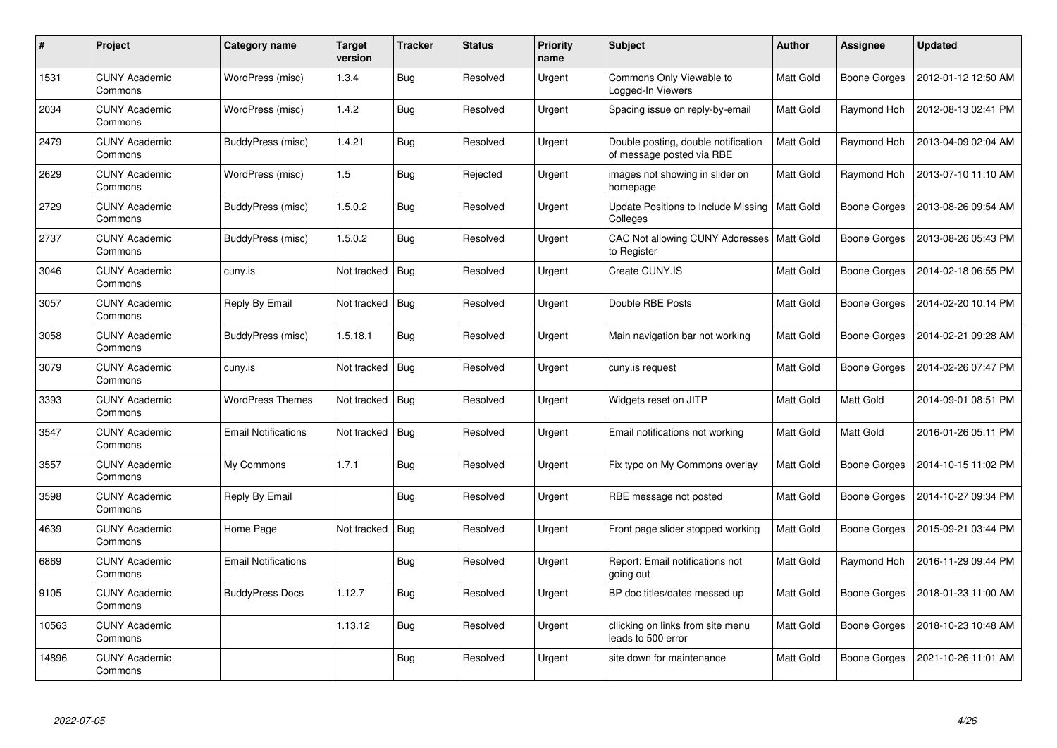| #     | Project                         | Category name              | <b>Target</b><br>version | <b>Tracker</b> | <b>Status</b> | <b>Priority</b><br>name | <b>Subject</b>                                                   | <b>Author</b>    | Assignee            | <b>Updated</b>      |
|-------|---------------------------------|----------------------------|--------------------------|----------------|---------------|-------------------------|------------------------------------------------------------------|------------------|---------------------|---------------------|
| 1531  | <b>CUNY Academic</b><br>Commons | WordPress (misc)           | 1.3.4                    | <b>Bug</b>     | Resolved      | Urgent                  | Commons Only Viewable to<br>Logged-In Viewers                    | Matt Gold        | Boone Gorges        | 2012-01-12 12:50 AM |
| 2034  | <b>CUNY Academic</b><br>Commons | WordPress (misc)           | 1.4.2                    | Bug            | Resolved      | Urgent                  | Spacing issue on reply-by-email                                  | Matt Gold        | Raymond Hoh         | 2012-08-13 02:41 PM |
| 2479  | <b>CUNY Academic</b><br>Commons | BuddyPress (misc)          | 1.4.21                   | Bug            | Resolved      | Urgent                  | Double posting, double notification<br>of message posted via RBE | Matt Gold        | Raymond Hoh         | 2013-04-09 02:04 AM |
| 2629  | <b>CUNY Academic</b><br>Commons | WordPress (misc)           | 1.5                      | <b>Bug</b>     | Rejected      | Urgent                  | images not showing in slider on<br>homepage                      | Matt Gold        | Raymond Hoh         | 2013-07-10 11:10 AM |
| 2729  | <b>CUNY Academic</b><br>Commons | BuddyPress (misc)          | 1.5.0.2                  | Bug            | Resolved      | Urgent                  | Update Positions to Include Missing<br>Colleges                  | <b>Matt Gold</b> | <b>Boone Gorges</b> | 2013-08-26 09:54 AM |
| 2737  | <b>CUNY Academic</b><br>Commons | BuddyPress (misc)          | 1.5.0.2                  | <b>Bug</b>     | Resolved      | Urgent                  | CAC Not allowing CUNY Addresses   Matt Gold<br>to Register       |                  | Boone Gorges        | 2013-08-26 05:43 PM |
| 3046  | <b>CUNY Academic</b><br>Commons | cuny.is                    | Not tracked              | Bug            | Resolved      | Urgent                  | Create CUNY.IS                                                   | Matt Gold        | Boone Gorges        | 2014-02-18 06:55 PM |
| 3057  | <b>CUNY Academic</b><br>Commons | Reply By Email             | Not tracked              | <b>Bug</b>     | Resolved      | Urgent                  | Double RBE Posts                                                 | Matt Gold        | Boone Gorges        | 2014-02-20 10:14 PM |
| 3058  | <b>CUNY Academic</b><br>Commons | BuddyPress (misc)          | 1.5.18.1                 | Bug            | Resolved      | Urgent                  | Main navigation bar not working                                  | <b>Matt Gold</b> | Boone Gorges        | 2014-02-21 09:28 AM |
| 3079  | <b>CUNY Academic</b><br>Commons | cuny.is                    | Not tracked              | <b>Bug</b>     | Resolved      | Urgent                  | cuny.is request                                                  | <b>Matt Gold</b> | Boone Gorges        | 2014-02-26 07:47 PM |
| 3393  | <b>CUNY Academic</b><br>Commons | <b>WordPress Themes</b>    | Not tracked              | <b>Bug</b>     | Resolved      | Urgent                  | Widgets reset on JITP                                            | Matt Gold        | Matt Gold           | 2014-09-01 08:51 PM |
| 3547  | <b>CUNY Academic</b><br>Commons | <b>Email Notifications</b> | Not tracked              | Bug            | Resolved      | Urgent                  | Email notifications not working                                  | Matt Gold        | Matt Gold           | 2016-01-26 05:11 PM |
| 3557  | <b>CUNY Academic</b><br>Commons | My Commons                 | 1.7.1                    | Bug            | Resolved      | Urgent                  | Fix typo on My Commons overlay                                   | Matt Gold        | <b>Boone Gorges</b> | 2014-10-15 11:02 PM |
| 3598  | <b>CUNY Academic</b><br>Commons | Reply By Email             |                          | <b>Bug</b>     | Resolved      | Urgent                  | RBE message not posted                                           | Matt Gold        | Boone Gorges        | 2014-10-27 09:34 PM |
| 4639  | <b>CUNY Academic</b><br>Commons | Home Page                  | Not tracked              | <b>Bug</b>     | Resolved      | Urgent                  | Front page slider stopped working                                | Matt Gold        | Boone Gorges        | 2015-09-21 03:44 PM |
| 6869  | <b>CUNY Academic</b><br>Commons | <b>Email Notifications</b> |                          | Bug            | Resolved      | Urgent                  | Report: Email notifications not<br>going out                     | Matt Gold        | Raymond Hoh         | 2016-11-29 09:44 PM |
| 9105  | <b>CUNY Academic</b><br>Commons | <b>BuddyPress Docs</b>     | 1.12.7                   | <b>Bug</b>     | Resolved      | Urgent                  | BP doc titles/dates messed up                                    | Matt Gold        | Boone Gorges        | 2018-01-23 11:00 AM |
| 10563 | <b>CUNY Academic</b><br>Commons |                            | 1.13.12                  | <b>Bug</b>     | Resolved      | Urgent                  | cllicking on links from site menu<br>leads to 500 error          | Matt Gold        | Boone Gorges        | 2018-10-23 10:48 AM |
| 14896 | <b>CUNY Academic</b><br>Commons |                            |                          | <b>Bug</b>     | Resolved      | Urgent                  | site down for maintenance                                        | Matt Gold        | Boone Gorges        | 2021-10-26 11:01 AM |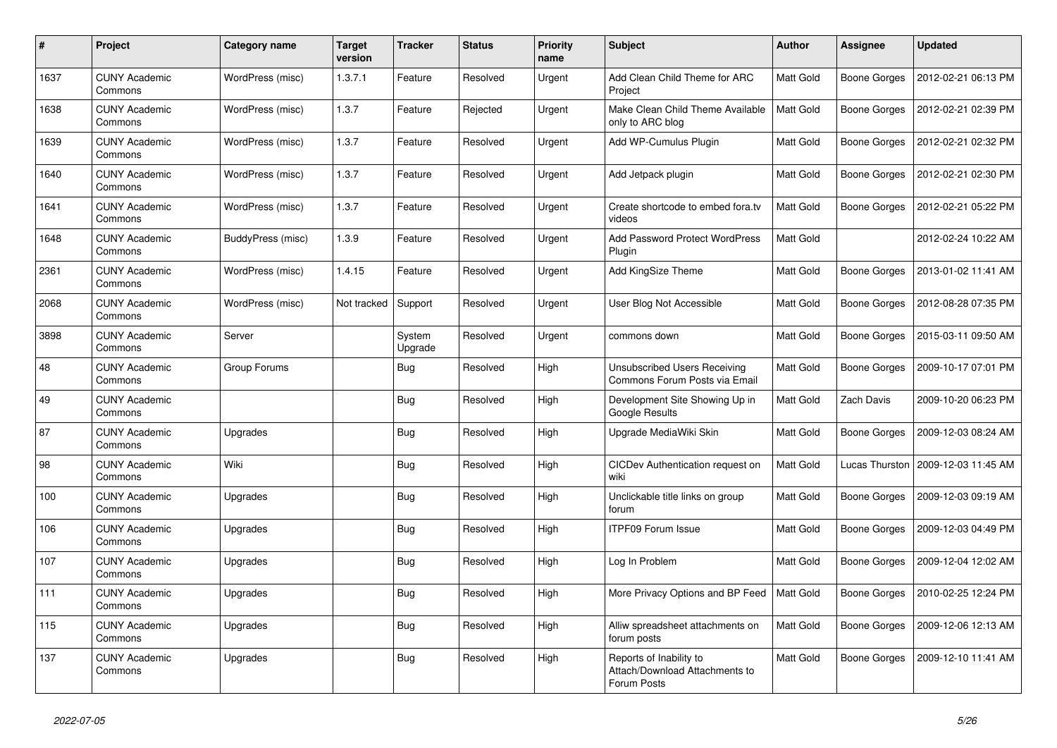| #    | Project                         | <b>Category name</b> | Target<br>version | <b>Tracker</b>    | <b>Status</b> | <b>Priority</b><br>name | <b>Subject</b>                                                           | <b>Author</b>    | Assignee            | <b>Updated</b>      |
|------|---------------------------------|----------------------|-------------------|-------------------|---------------|-------------------------|--------------------------------------------------------------------------|------------------|---------------------|---------------------|
| 1637 | <b>CUNY Academic</b><br>Commons | WordPress (misc)     | 1.3.7.1           | Feature           | Resolved      | Urgent                  | Add Clean Child Theme for ARC<br>Project                                 | Matt Gold        | Boone Gorges        | 2012-02-21 06:13 PM |
| 1638 | <b>CUNY Academic</b><br>Commons | WordPress (misc)     | 1.3.7             | Feature           | Rejected      | Urgent                  | Make Clean Child Theme Available<br>only to ARC blog                     | <b>Matt Gold</b> | <b>Boone Gorges</b> | 2012-02-21 02:39 PM |
| 1639 | <b>CUNY Academic</b><br>Commons | WordPress (misc)     | 1.3.7             | Feature           | Resolved      | Urgent                  | Add WP-Cumulus Plugin                                                    | Matt Gold        | Boone Gorges        | 2012-02-21 02:32 PM |
| 1640 | <b>CUNY Academic</b><br>Commons | WordPress (misc)     | 1.3.7             | Feature           | Resolved      | Urgent                  | Add Jetpack plugin                                                       | Matt Gold        | <b>Boone Gorges</b> | 2012-02-21 02:30 PM |
| 1641 | <b>CUNY Academic</b><br>Commons | WordPress (misc)     | 1.3.7             | Feature           | Resolved      | Urgent                  | Create shortcode to embed fora.tv<br>videos                              | <b>Matt Gold</b> | Boone Gorges        | 2012-02-21 05:22 PM |
| 1648 | <b>CUNY Academic</b><br>Commons | BuddyPress (misc)    | 1.3.9             | Feature           | Resolved      | Urgent                  | <b>Add Password Protect WordPress</b><br>Plugin                          | Matt Gold        |                     | 2012-02-24 10:22 AM |
| 2361 | <b>CUNY Academic</b><br>Commons | WordPress (misc)     | 1.4.15            | Feature           | Resolved      | Urgent                  | Add KingSize Theme                                                       | Matt Gold        | Boone Gorges        | 2013-01-02 11:41 AM |
| 2068 | <b>CUNY Academic</b><br>Commons | WordPress (misc)     | Not tracked       | Support           | Resolved      | Urgent                  | User Blog Not Accessible                                                 | Matt Gold        | <b>Boone Gorges</b> | 2012-08-28 07:35 PM |
| 3898 | <b>CUNY Academic</b><br>Commons | Server               |                   | System<br>Upgrade | Resolved      | Urgent                  | commons down                                                             | Matt Gold        | Boone Gorges        | 2015-03-11 09:50 AM |
| 48   | <b>CUNY Academic</b><br>Commons | Group Forums         |                   | Bug               | Resolved      | High                    | <b>Unsubscribed Users Receiving</b><br>Commons Forum Posts via Email     | Matt Gold        | Boone Gorges        | 2009-10-17 07:01 PM |
| 49   | <b>CUNY Academic</b><br>Commons |                      |                   | Bug               | Resolved      | High                    | Development Site Showing Up in<br>Google Results                         | Matt Gold        | Zach Davis          | 2009-10-20 06:23 PM |
| 87   | <b>CUNY Academic</b><br>Commons | Upgrades             |                   | Bug               | Resolved      | High                    | Upgrade MediaWiki Skin                                                   | Matt Gold        | Boone Gorges        | 2009-12-03 08:24 AM |
| 98   | <b>CUNY Academic</b><br>Commons | Wiki                 |                   | Bug               | Resolved      | High                    | CICDev Authentication request on<br>wiki                                 | Matt Gold        | Lucas Thurston      | 2009-12-03 11:45 AM |
| 100  | <b>CUNY Academic</b><br>Commons | Upgrades             |                   | Bug               | Resolved      | High                    | Unclickable title links on group<br>forum                                | Matt Gold        | Boone Gorges        | 2009-12-03 09:19 AM |
| 106  | <b>CUNY Academic</b><br>Commons | Upgrades             |                   | Bug               | Resolved      | High                    | <b>ITPF09 Forum Issue</b>                                                | Matt Gold        | Boone Gorges        | 2009-12-03 04:49 PM |
| 107  | <b>CUNY Academic</b><br>Commons | Upgrades             |                   | Bug               | Resolved      | High                    | Log In Problem                                                           | Matt Gold        | Boone Gorges        | 2009-12-04 12:02 AM |
| 111  | <b>CUNY Academic</b><br>Commons | Upgrades             |                   | Bug               | Resolved      | High                    | More Privacy Options and BP Feed                                         | Matt Gold        | Boone Gorges        | 2010-02-25 12:24 PM |
| 115  | <b>CUNY Academic</b><br>Commons | Upgrades             |                   | Bug               | Resolved      | High                    | Alliw spreadsheet attachments on<br>forum posts                          | Matt Gold        | <b>Boone Gorges</b> | 2009-12-06 12:13 AM |
| 137  | <b>CUNY Academic</b><br>Commons | Upgrades             |                   | Bug               | Resolved      | High                    | Reports of Inability to<br>Attach/Download Attachments to<br>Forum Posts | Matt Gold        | Boone Gorges        | 2009-12-10 11:41 AM |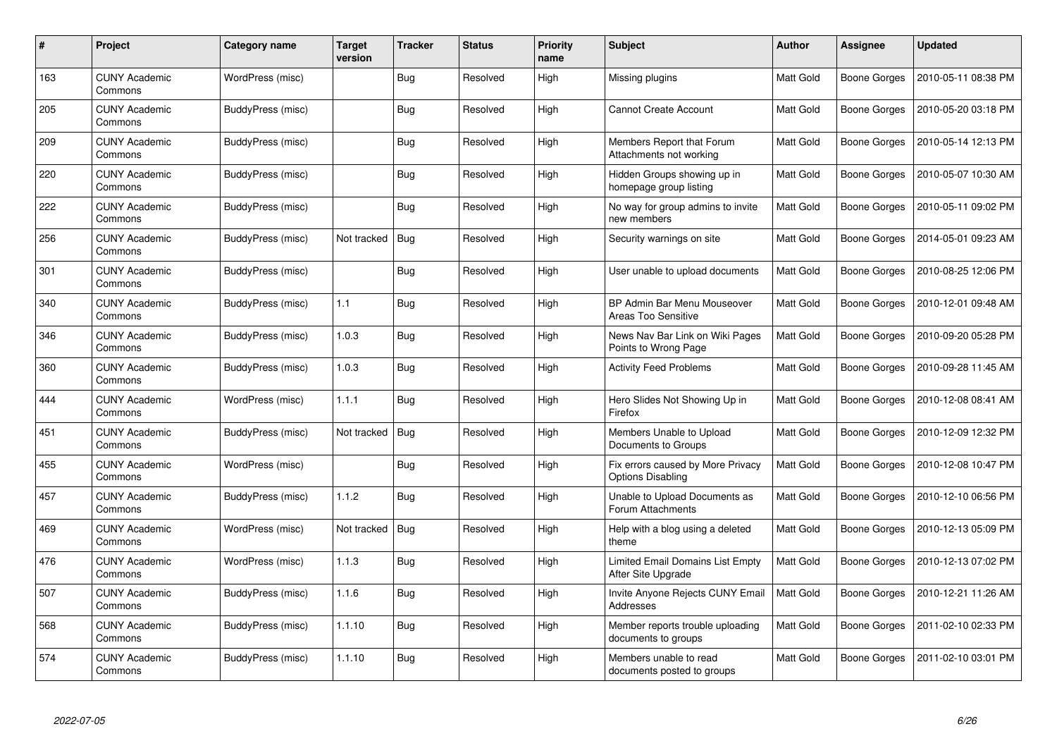| #   | Project                         | Category name     | Target<br>version | <b>Tracker</b> | <b>Status</b> | <b>Priority</b><br>name | <b>Subject</b>                                                | <b>Author</b> | <b>Assignee</b>     | <b>Updated</b>      |
|-----|---------------------------------|-------------------|-------------------|----------------|---------------|-------------------------|---------------------------------------------------------------|---------------|---------------------|---------------------|
| 163 | <b>CUNY Academic</b><br>Commons | WordPress (misc)  |                   | Bug            | Resolved      | High                    | Missing plugins                                               | Matt Gold     | Boone Gorges        | 2010-05-11 08:38 PM |
| 205 | <b>CUNY Academic</b><br>Commons | BuddyPress (misc) |                   | Bug            | Resolved      | High                    | <b>Cannot Create Account</b>                                  | Matt Gold     | <b>Boone Gorges</b> | 2010-05-20 03:18 PM |
| 209 | <b>CUNY Academic</b><br>Commons | BuddyPress (misc) |                   | Bug            | Resolved      | High                    | Members Report that Forum<br>Attachments not working          | Matt Gold     | <b>Boone Gorges</b> | 2010-05-14 12:13 PM |
| 220 | <b>CUNY Academic</b><br>Commons | BuddyPress (misc) |                   | Bug            | Resolved      | High                    | Hidden Groups showing up in<br>homepage group listing         | Matt Gold     | Boone Gorges        | 2010-05-07 10:30 AM |
| 222 | <b>CUNY Academic</b><br>Commons | BuddyPress (misc) |                   | <b>Bug</b>     | Resolved      | High                    | No way for group admins to invite<br>new members              | Matt Gold     | Boone Gorges        | 2010-05-11 09:02 PM |
| 256 | <b>CUNY Academic</b><br>Commons | BuddyPress (misc) | Not tracked       | Bug            | Resolved      | High                    | Security warnings on site                                     | Matt Gold     | Boone Gorges        | 2014-05-01 09:23 AM |
| 301 | <b>CUNY Academic</b><br>Commons | BuddyPress (misc) |                   | <b>Bug</b>     | Resolved      | High                    | User unable to upload documents                               | Matt Gold     | <b>Boone Gorges</b> | 2010-08-25 12:06 PM |
| 340 | <b>CUNY Academic</b><br>Commons | BuddyPress (misc) | 1.1               | Bug            | Resolved      | High                    | BP Admin Bar Menu Mouseover<br>Areas Too Sensitive            | Matt Gold     | <b>Boone Gorges</b> | 2010-12-01 09:48 AM |
| 346 | <b>CUNY Academic</b><br>Commons | BuddyPress (misc) | 1.0.3             | Bug            | Resolved      | High                    | News Nav Bar Link on Wiki Pages<br>Points to Wrong Page       | Matt Gold     | Boone Gorges        | 2010-09-20 05:28 PM |
| 360 | <b>CUNY Academic</b><br>Commons | BuddyPress (misc) | 1.0.3             | Bug            | Resolved      | High                    | <b>Activity Feed Problems</b>                                 | Matt Gold     | Boone Gorges        | 2010-09-28 11:45 AM |
| 444 | <b>CUNY Academic</b><br>Commons | WordPress (misc)  | 1.1.1             | Bug            | Resolved      | High                    | Hero Slides Not Showing Up in<br>Firefox                      | Matt Gold     | Boone Gorges        | 2010-12-08 08:41 AM |
| 451 | <b>CUNY Academic</b><br>Commons | BuddyPress (misc) | Not tracked       | <b>Bug</b>     | Resolved      | High                    | Members Unable to Upload<br>Documents to Groups               | Matt Gold     | <b>Boone Gorges</b> | 2010-12-09 12:32 PM |
| 455 | <b>CUNY Academic</b><br>Commons | WordPress (misc)  |                   | Bug            | Resolved      | High                    | Fix errors caused by More Privacy<br><b>Options Disabling</b> | Matt Gold     | Boone Gorges        | 2010-12-08 10:47 PM |
| 457 | <b>CUNY Academic</b><br>Commons | BuddyPress (misc) | 1.1.2             | Bug            | Resolved      | High                    | Unable to Upload Documents as<br>Forum Attachments            | Matt Gold     | <b>Boone Gorges</b> | 2010-12-10 06:56 PM |
| 469 | <b>CUNY Academic</b><br>Commons | WordPress (misc)  | Not tracked       | Bug            | Resolved      | High                    | Help with a blog using a deleted<br>theme                     | Matt Gold     | Boone Gorges        | 2010-12-13 05:09 PM |
| 476 | <b>CUNY Academic</b><br>Commons | WordPress (misc)  | 1.1.3             | <b>Bug</b>     | Resolved      | High                    | Limited Email Domains List Empty<br>After Site Upgrade        | Matt Gold     | Boone Gorges        | 2010-12-13 07:02 PM |
| 507 | <b>CUNY Academic</b><br>Commons | BuddyPress (misc) | 1.1.6             | Bug            | Resolved      | High                    | Invite Anyone Rejects CUNY Email<br>Addresses                 | Matt Gold     | Boone Gorges        | 2010-12-21 11:26 AM |
| 568 | <b>CUNY Academic</b><br>Commons | BuddyPress (misc) | 1.1.10            | Bug            | Resolved      | High                    | Member reports trouble uploading<br>documents to groups       | Matt Gold     | <b>Boone Gorges</b> | 2011-02-10 02:33 PM |
| 574 | CUNY Academic<br>Commons        | BuddyPress (misc) | 1.1.10            | Bug            | Resolved      | High                    | Members unable to read<br>documents posted to groups          | Matt Gold     | Boone Gorges        | 2011-02-10 03:01 PM |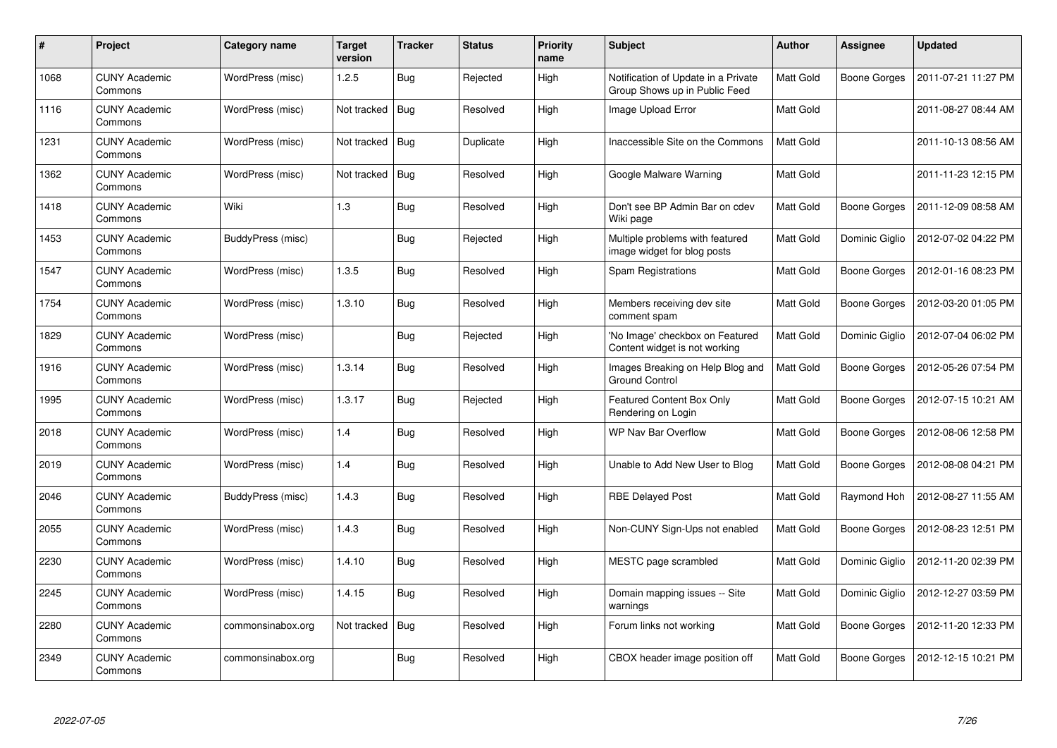| #    | Project                         | <b>Category name</b> | Target<br>version | <b>Tracker</b> | <b>Status</b> | <b>Priority</b><br>name | <b>Subject</b>                                                       | <b>Author</b>    | Assignee            | <b>Updated</b>      |
|------|---------------------------------|----------------------|-------------------|----------------|---------------|-------------------------|----------------------------------------------------------------------|------------------|---------------------|---------------------|
| 1068 | <b>CUNY Academic</b><br>Commons | WordPress (misc)     | 1.2.5             | Bug            | Rejected      | High                    | Notification of Update in a Private<br>Group Shows up in Public Feed | Matt Gold        | Boone Gorges        | 2011-07-21 11:27 PM |
| 1116 | <b>CUNY Academic</b><br>Commons | WordPress (misc)     | Not tracked       | Bug            | Resolved      | High                    | Image Upload Error                                                   | Matt Gold        |                     | 2011-08-27 08:44 AM |
| 1231 | <b>CUNY Academic</b><br>Commons | WordPress (misc)     | Not tracked       | Bug            | Duplicate     | High                    | Inaccessible Site on the Commons                                     | <b>Matt Gold</b> |                     | 2011-10-13 08:56 AM |
| 1362 | CUNY Academic<br>Commons        | WordPress (misc)     | Not tracked       | Bug            | Resolved      | High                    | Google Malware Warning                                               | Matt Gold        |                     | 2011-11-23 12:15 PM |
| 1418 | <b>CUNY Academic</b><br>Commons | Wiki                 | 1.3               | Bug            | Resolved      | High                    | Don't see BP Admin Bar on cdev<br>Wiki page                          | Matt Gold        | Boone Gorges        | 2011-12-09 08:58 AM |
| 1453 | <b>CUNY Academic</b><br>Commons | BuddyPress (misc)    |                   | Bug            | Rejected      | High                    | Multiple problems with featured<br>image widget for blog posts       | Matt Gold        | Dominic Giglio      | 2012-07-02 04:22 PM |
| 1547 | <b>CUNY Academic</b><br>Commons | WordPress (misc)     | 1.3.5             | Bug            | Resolved      | High                    | Spam Registrations                                                   | Matt Gold        | <b>Boone Gorges</b> | 2012-01-16 08:23 PM |
| 1754 | <b>CUNY Academic</b><br>Commons | WordPress (misc)     | 1.3.10            | Bug            | Resolved      | High                    | Members receiving dev site<br>comment spam                           | Matt Gold        | Boone Gorges        | 2012-03-20 01:05 PM |
| 1829 | <b>CUNY Academic</b><br>Commons | WordPress (misc)     |                   | Bug            | Rejected      | High                    | 'No Image' checkbox on Featured<br>Content widget is not working     | Matt Gold        | Dominic Giglio      | 2012-07-04 06:02 PM |
| 1916 | <b>CUNY Academic</b><br>Commons | WordPress (misc)     | 1.3.14            | Bug            | Resolved      | High                    | Images Breaking on Help Blog and<br><b>Ground Control</b>            | Matt Gold        | Boone Gorges        | 2012-05-26 07:54 PM |
| 1995 | <b>CUNY Academic</b><br>Commons | WordPress (misc)     | 1.3.17            | Bug            | Rejected      | High                    | Featured Content Box Only<br>Rendering on Login                      | Matt Gold        | Boone Gorges        | 2012-07-15 10:21 AM |
| 2018 | <b>CUNY Academic</b><br>Commons | WordPress (misc)     | 1.4               | Bug            | Resolved      | High                    | <b>WP Nav Bar Overflow</b>                                           | Matt Gold        | Boone Gorges        | 2012-08-06 12:58 PM |
| 2019 | <b>CUNY Academic</b><br>Commons | WordPress (misc)     | 1.4               | Bug            | Resolved      | High                    | Unable to Add New User to Blog                                       | <b>Matt Gold</b> | Boone Gorges        | 2012-08-08 04:21 PM |
| 2046 | <b>CUNY Academic</b><br>Commons | BuddyPress (misc)    | 1.4.3             | Bug            | Resolved      | High                    | <b>RBE Delayed Post</b>                                              | Matt Gold        | Raymond Hoh         | 2012-08-27 11:55 AM |
| 2055 | <b>CUNY Academic</b><br>Commons | WordPress (misc)     | 1.4.3             | Bug            | Resolved      | High                    | Non-CUNY Sign-Ups not enabled                                        | Matt Gold        | Boone Gorges        | 2012-08-23 12:51 PM |
| 2230 | <b>CUNY Academic</b><br>Commons | WordPress (misc)     | 1.4.10            | <b>Bug</b>     | Resolved      | High                    | MESTC page scrambled                                                 | Matt Gold        | Dominic Giglio      | 2012-11-20 02:39 PM |
| 2245 | <b>CUNY Academic</b><br>Commons | WordPress (misc)     | 1.4.15            | Bug            | Resolved      | High                    | Domain mapping issues -- Site<br>warnings                            | Matt Gold        | Dominic Giglio      | 2012-12-27 03:59 PM |
| 2280 | <b>CUNY Academic</b><br>Commons | commonsinabox.org    | Not tracked       | <b>Bug</b>     | Resolved      | High                    | Forum links not working                                              | Matt Gold        | Boone Gorges        | 2012-11-20 12:33 PM |
| 2349 | <b>CUNY Academic</b><br>Commons | commonsinabox.org    |                   | Bug            | Resolved      | High                    | CBOX header image position off                                       | Matt Gold        | Boone Gorges        | 2012-12-15 10:21 PM |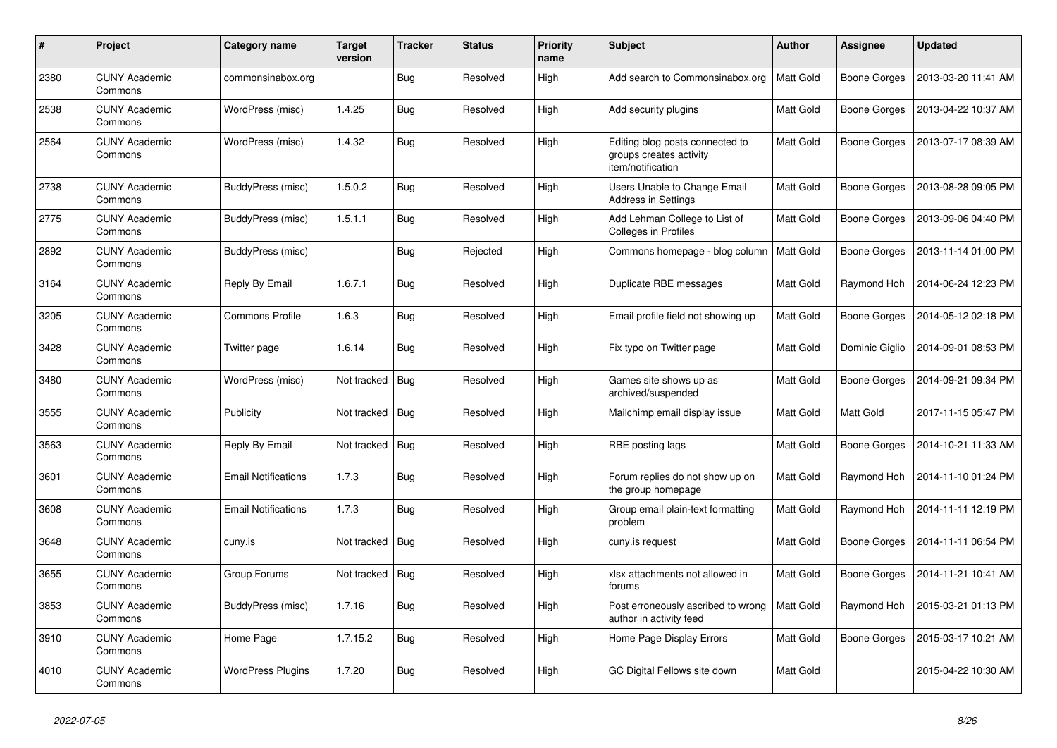| #    | Project                         | Category name              | <b>Target</b><br>version | <b>Tracker</b> | <b>Status</b> | <b>Priority</b><br>name | <b>Subject</b>                                                                  | <b>Author</b>    | Assignee       | <b>Updated</b>      |
|------|---------------------------------|----------------------------|--------------------------|----------------|---------------|-------------------------|---------------------------------------------------------------------------------|------------------|----------------|---------------------|
| 2380 | <b>CUNY Academic</b><br>Commons | commonsinabox.org          |                          | <b>Bug</b>     | Resolved      | High                    | Add search to Commonsinabox.org                                                 | <b>Matt Gold</b> | Boone Gorges   | 2013-03-20 11:41 AM |
| 2538 | <b>CUNY Academic</b><br>Commons | WordPress (misc)           | 1.4.25                   | <b>Bug</b>     | Resolved      | High                    | Add security plugins                                                            | <b>Matt Gold</b> | Boone Gorges   | 2013-04-22 10:37 AM |
| 2564 | CUNY Academic<br>Commons        | WordPress (misc)           | 1.4.32                   | <b>Bug</b>     | Resolved      | High                    | Editing blog posts connected to<br>groups creates activity<br>item/notification | Matt Gold        | Boone Gorges   | 2013-07-17 08:39 AM |
| 2738 | <b>CUNY Academic</b><br>Commons | BuddyPress (misc)          | 1.5.0.2                  | Bug            | Resolved      | High                    | Users Unable to Change Email<br><b>Address in Settings</b>                      | Matt Gold        | Boone Gorges   | 2013-08-28 09:05 PM |
| 2775 | <b>CUNY Academic</b><br>Commons | BuddyPress (misc)          | 1.5.1.1                  | <b>Bug</b>     | Resolved      | High                    | Add Lehman College to List of<br><b>Colleges in Profiles</b>                    | Matt Gold        | Boone Gorges   | 2013-09-06 04:40 PM |
| 2892 | <b>CUNY Academic</b><br>Commons | BuddyPress (misc)          |                          | Bug            | Rejected      | High                    | Commons homepage - blog column                                                  | <b>Matt Gold</b> | Boone Gorges   | 2013-11-14 01:00 PM |
| 3164 | <b>CUNY Academic</b><br>Commons | Reply By Email             | 1.6.7.1                  | <b>Bug</b>     | Resolved      | High                    | Duplicate RBE messages                                                          | Matt Gold        | Raymond Hoh    | 2014-06-24 12:23 PM |
| 3205 | <b>CUNY Academic</b><br>Commons | <b>Commons Profile</b>     | 1.6.3                    | Bug            | Resolved      | High                    | Email profile field not showing up                                              | Matt Gold        | Boone Gorges   | 2014-05-12 02:18 PM |
| 3428 | <b>CUNY Academic</b><br>Commons | Twitter page               | 1.6.14                   | <b>Bug</b>     | Resolved      | High                    | Fix typo on Twitter page                                                        | Matt Gold        | Dominic Giglio | 2014-09-01 08:53 PM |
| 3480 | <b>CUNY Academic</b><br>Commons | WordPress (misc)           | Not tracked              | Bug            | Resolved      | High                    | Games site shows up as<br>archived/suspended                                    | Matt Gold        | Boone Gorges   | 2014-09-21 09:34 PM |
| 3555 | <b>CUNY Academic</b><br>Commons | Publicity                  | Not tracked              | Bug            | Resolved      | High                    | Mailchimp email display issue                                                   | Matt Gold        | Matt Gold      | 2017-11-15 05:47 PM |
| 3563 | <b>CUNY Academic</b><br>Commons | Reply By Email             | Not tracked              | Bug            | Resolved      | High                    | RBE posting lags                                                                | <b>Matt Gold</b> | Boone Gorges   | 2014-10-21 11:33 AM |
| 3601 | <b>CUNY Academic</b><br>Commons | <b>Email Notifications</b> | 1.7.3                    | Bug            | Resolved      | High                    | Forum replies do not show up on<br>the group homepage                           | Matt Gold        | Raymond Hoh    | 2014-11-10 01:24 PM |
| 3608 | <b>CUNY Academic</b><br>Commons | <b>Email Notifications</b> | 1.7.3                    | Bug            | Resolved      | High                    | Group email plain-text formatting<br>problem                                    | Matt Gold        | Raymond Hoh    | 2014-11-11 12:19 PM |
| 3648 | <b>CUNY Academic</b><br>Commons | cuny.is                    | Not tracked              | <b>Bug</b>     | Resolved      | High                    | cuny.is request                                                                 | Matt Gold        | Boone Gorges   | 2014-11-11 06:54 PM |
| 3655 | <b>CUNY Academic</b><br>Commons | Group Forums               | Not tracked              | <b>Bug</b>     | Resolved      | High                    | xlsx attachments not allowed in<br>forums                                       | Matt Gold        | Boone Gorges   | 2014-11-21 10:41 AM |
| 3853 | <b>CUNY Academic</b><br>Commons | BuddyPress (misc)          | 1.7.16                   | <b>Bug</b>     | Resolved      | High                    | Post erroneously ascribed to wrong<br>author in activity feed                   | Matt Gold        | Raymond Hoh    | 2015-03-21 01:13 PM |
| 3910 | <b>CUNY Academic</b><br>Commons | Home Page                  | 1.7.15.2                 | <b>Bug</b>     | Resolved      | High                    | Home Page Display Errors                                                        | Matt Gold        | Boone Gorges   | 2015-03-17 10:21 AM |
| 4010 | <b>CUNY Academic</b><br>Commons | <b>WordPress Plugins</b>   | 1.7.20                   | <b>Bug</b>     | Resolved      | High                    | GC Digital Fellows site down                                                    | <b>Matt Gold</b> |                | 2015-04-22 10:30 AM |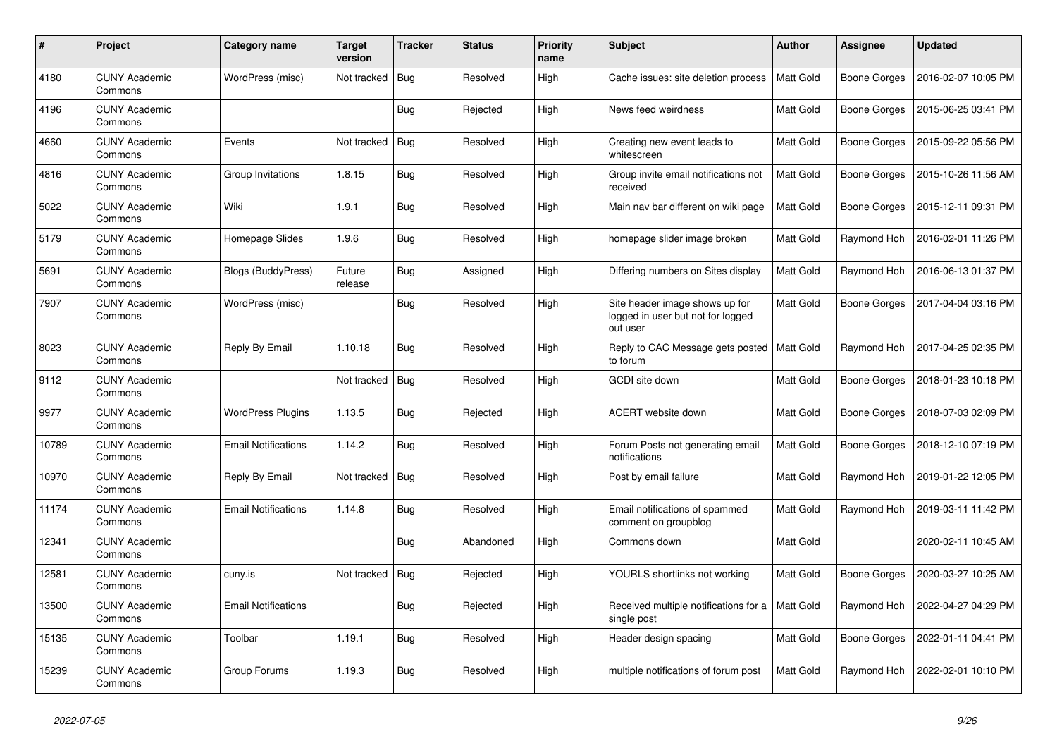| $\pmb{\#}$ | Project                         | Category name              | <b>Target</b><br>version | <b>Tracker</b> | <b>Status</b> | <b>Priority</b><br>name | <b>Subject</b>                                                                  | <b>Author</b>    | Assignee            | <b>Updated</b>      |
|------------|---------------------------------|----------------------------|--------------------------|----------------|---------------|-------------------------|---------------------------------------------------------------------------------|------------------|---------------------|---------------------|
| 4180       | <b>CUNY Academic</b><br>Commons | WordPress (misc)           | Not tracked              | Bug            | Resolved      | High                    | Cache issues: site deletion process                                             | <b>Matt Gold</b> | <b>Boone Gorges</b> | 2016-02-07 10:05 PM |
| 4196       | <b>CUNY Academic</b><br>Commons |                            |                          | Bug            | Rejected      | High                    | News feed weirdness                                                             | Matt Gold        | <b>Boone Gorges</b> | 2015-06-25 03:41 PM |
| 4660       | <b>CUNY Academic</b><br>Commons | Events                     | Not tracked              | Bug            | Resolved      | High                    | Creating new event leads to<br>whitescreen                                      | Matt Gold        | Boone Gorges        | 2015-09-22 05:56 PM |
| 4816       | <b>CUNY Academic</b><br>Commons | Group Invitations          | 1.8.15                   | Bug            | Resolved      | High                    | Group invite email notifications not<br>received                                | Matt Gold        | <b>Boone Gorges</b> | 2015-10-26 11:56 AM |
| 5022       | <b>CUNY Academic</b><br>Commons | Wiki                       | 1.9.1                    | Bug            | Resolved      | High                    | Main nav bar different on wiki page                                             | Matt Gold        | Boone Gorges        | 2015-12-11 09:31 PM |
| 5179       | <b>CUNY Academic</b><br>Commons | Homepage Slides            | 1.9.6                    | Bug            | Resolved      | High                    | homepage slider image broken                                                    | Matt Gold        | Raymond Hoh         | 2016-02-01 11:26 PM |
| 5691       | <b>CUNY Academic</b><br>Commons | Blogs (BuddyPress)         | Future<br>release        | <b>Bug</b>     | Assigned      | High                    | Differing numbers on Sites display                                              | Matt Gold        | Raymond Hoh         | 2016-06-13 01:37 PM |
| 7907       | <b>CUNY Academic</b><br>Commons | WordPress (misc)           |                          | Bug            | Resolved      | High                    | Site header image shows up for<br>logged in user but not for logged<br>out user | Matt Gold        | Boone Gorges        | 2017-04-04 03:16 PM |
| 8023       | <b>CUNY Academic</b><br>Commons | Reply By Email             | 1.10.18                  | Bug            | Resolved      | High                    | Reply to CAC Message gets posted   Matt Gold<br>to forum                        |                  | Raymond Hoh         | 2017-04-25 02:35 PM |
| 9112       | <b>CUNY Academic</b><br>Commons |                            | Not tracked              | Bug            | Resolved      | High                    | GCDI site down                                                                  | Matt Gold        | Boone Gorges        | 2018-01-23 10:18 PM |
| 9977       | <b>CUNY Academic</b><br>Commons | <b>WordPress Plugins</b>   | 1.13.5                   | Bug            | Rejected      | High                    | ACERT website down                                                              | Matt Gold        | Boone Gorges        | 2018-07-03 02:09 PM |
| 10789      | <b>CUNY Academic</b><br>Commons | <b>Email Notifications</b> | 1.14.2                   | <b>Bug</b>     | Resolved      | High                    | Forum Posts not generating email<br>notifications                               | Matt Gold        | Boone Gorges        | 2018-12-10 07:19 PM |
| 10970      | <b>CUNY Academic</b><br>Commons | Reply By Email             | Not tracked              | Bug            | Resolved      | High                    | Post by email failure                                                           | Matt Gold        | Raymond Hoh         | 2019-01-22 12:05 PM |
| 11174      | <b>CUNY Academic</b><br>Commons | Email Notifications        | 1.14.8                   | <b>Bug</b>     | Resolved      | High                    | Email notifications of spammed<br>comment on groupblog                          | Matt Gold        | Raymond Hoh         | 2019-03-11 11:42 PM |
| 12341      | <b>CUNY Academic</b><br>Commons |                            |                          | Bug            | Abandoned     | High                    | Commons down                                                                    | Matt Gold        |                     | 2020-02-11 10:45 AM |
| 12581      | <b>CUNY Academic</b><br>Commons | cuny.is                    | Not tracked              | Bug            | Rejected      | High                    | YOURLS shortlinks not working                                                   | Matt Gold        | <b>Boone Gorges</b> | 2020-03-27 10:25 AM |
| 13500      | <b>CUNY Academic</b><br>Commons | Email Notifications        |                          | Bug            | Rejected      | High                    | Received multiple notifications for a<br>single post                            | Matt Gold        | Raymond Hoh         | 2022-04-27 04:29 PM |
| 15135      | <b>CUNY Academic</b><br>Commons | Toolbar                    | 1.19.1                   | <b>Bug</b>     | Resolved      | High                    | Header design spacing                                                           | Matt Gold        | Boone Gorges        | 2022-01-11 04:41 PM |
| 15239      | <b>CUNY Academic</b><br>Commons | Group Forums               | 1.19.3                   | Bug            | Resolved      | High                    | multiple notifications of forum post                                            | Matt Gold        | Raymond Hoh         | 2022-02-01 10:10 PM |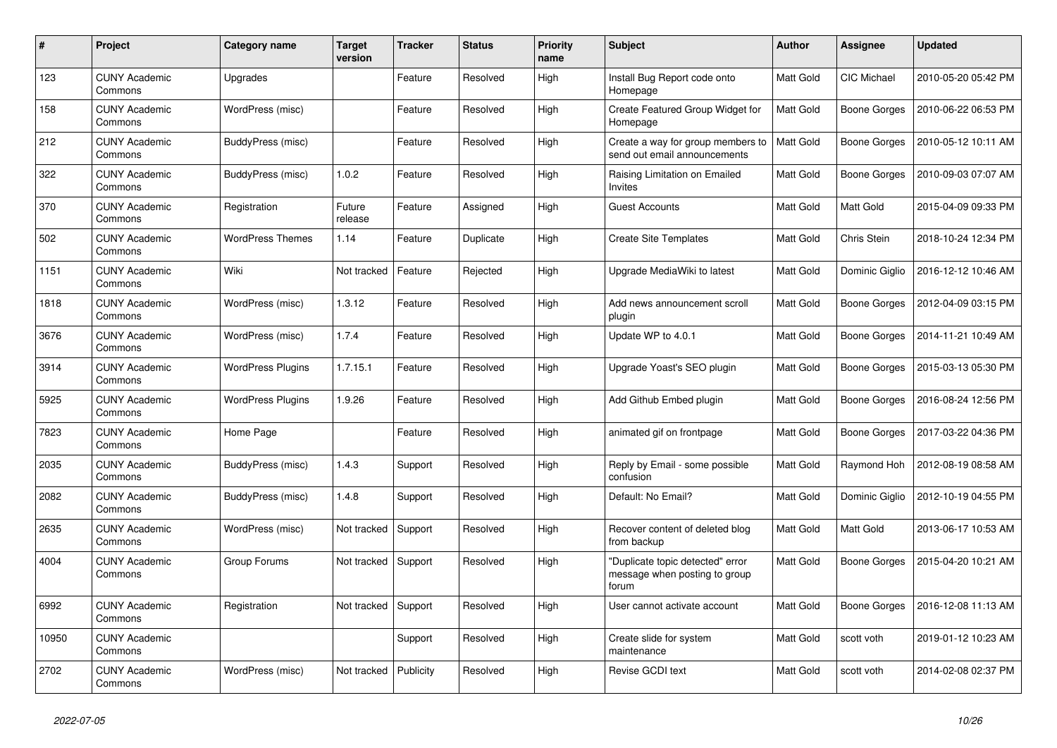| #     | Project                         | Category name            | <b>Target</b><br>version | <b>Tracker</b> | <b>Status</b> | <b>Priority</b><br>name | <b>Subject</b>                                                             | <b>Author</b>    | Assignee           | Updated             |
|-------|---------------------------------|--------------------------|--------------------------|----------------|---------------|-------------------------|----------------------------------------------------------------------------|------------------|--------------------|---------------------|
| 123   | <b>CUNY Academic</b><br>Commons | Upgrades                 |                          | Feature        | Resolved      | High                    | Install Bug Report code onto<br>Homepage                                   | <b>Matt Gold</b> | <b>CIC Michael</b> | 2010-05-20 05:42 PM |
| 158   | <b>CUNY Academic</b><br>Commons | WordPress (misc)         |                          | Feature        | Resolved      | High                    | Create Featured Group Widget for<br>Homepage                               | Matt Gold        | Boone Gorges       | 2010-06-22 06:53 PM |
| 212   | CUNY Academic<br>Commons        | BuddyPress (misc)        |                          | Feature        | Resolved      | High                    | Create a way for group members to<br>send out email announcements          | Matt Gold        | Boone Gorges       | 2010-05-12 10:11 AM |
| 322   | <b>CUNY Academic</b><br>Commons | BuddyPress (misc)        | 1.0.2                    | Feature        | Resolved      | High                    | Raising Limitation on Emailed<br>Invites                                   | Matt Gold        | Boone Gorges       | 2010-09-03 07:07 AM |
| 370   | <b>CUNY Academic</b><br>Commons | Registration             | Future<br>release        | Feature        | Assigned      | High                    | <b>Guest Accounts</b>                                                      | Matt Gold        | Matt Gold          | 2015-04-09 09:33 PM |
| 502   | CUNY Academic<br>Commons        | <b>WordPress Themes</b>  | 1.14                     | Feature        | Duplicate     | High                    | <b>Create Site Templates</b>                                               | Matt Gold        | Chris Stein        | 2018-10-24 12:34 PM |
| 1151  | <b>CUNY Academic</b><br>Commons | Wiki                     | Not tracked              | Feature        | Rejected      | High                    | Upgrade MediaWiki to latest                                                | Matt Gold        | Dominic Giglio     | 2016-12-12 10:46 AM |
| 1818  | <b>CUNY Academic</b><br>Commons | WordPress (misc)         | 1.3.12                   | Feature        | Resolved      | High                    | Add news announcement scroll<br>plugin                                     | Matt Gold        | Boone Gorges       | 2012-04-09 03:15 PM |
| 3676  | <b>CUNY Academic</b><br>Commons | WordPress (misc)         | 1.7.4                    | Feature        | Resolved      | High                    | Update WP to 4.0.1                                                         | Matt Gold        | Boone Gorges       | 2014-11-21 10:49 AM |
| 3914  | <b>CUNY Academic</b><br>Commons | <b>WordPress Plugins</b> | 1.7.15.1                 | Feature        | Resolved      | High                    | Upgrade Yoast's SEO plugin                                                 | Matt Gold        | Boone Gorges       | 2015-03-13 05:30 PM |
| 5925  | <b>CUNY Academic</b><br>Commons | <b>WordPress Plugins</b> | 1.9.26                   | Feature        | Resolved      | High                    | Add Github Embed plugin                                                    | Matt Gold        | Boone Gorges       | 2016-08-24 12:56 PM |
| 7823  | <b>CUNY Academic</b><br>Commons | Home Page                |                          | Feature        | Resolved      | High                    | animated gif on frontpage                                                  | Matt Gold        | Boone Gorges       | 2017-03-22 04:36 PM |
| 2035  | <b>CUNY Academic</b><br>Commons | BuddyPress (misc)        | 1.4.3                    | Support        | Resolved      | High                    | Reply by Email - some possible<br>confusion                                | Matt Gold        | Raymond Hoh        | 2012-08-19 08:58 AM |
| 2082  | <b>CUNY Academic</b><br>Commons | BuddyPress (misc)        | 1.4.8                    | Support        | Resolved      | High                    | Default: No Email?                                                         | Matt Gold        | Dominic Giglio     | 2012-10-19 04:55 PM |
| 2635  | <b>CUNY Academic</b><br>Commons | WordPress (misc)         | Not tracked              | Support        | Resolved      | High                    | Recover content of deleted blog<br>from backup                             | Matt Gold        | Matt Gold          | 2013-06-17 10:53 AM |
| 4004  | <b>CUNY Academic</b><br>Commons | Group Forums             | Not tracked              | Support        | Resolved      | High                    | "Duplicate topic detected" error<br>message when posting to group<br>forum | Matt Gold        | Boone Gorges       | 2015-04-20 10:21 AM |
| 6992  | <b>CUNY Academic</b><br>Commons | Registration             | Not tracked              | Support        | Resolved      | High                    | User cannot activate account                                               | Matt Gold        | Boone Gorges       | 2016-12-08 11:13 AM |
| 10950 | <b>CUNY Academic</b><br>Commons |                          |                          | Support        | Resolved      | High                    | Create slide for system<br>maintenance                                     | Matt Gold        | scott voth         | 2019-01-12 10:23 AM |
| 2702  | <b>CUNY Academic</b><br>Commons | WordPress (misc)         | Not tracked              | Publicity      | Resolved      | High                    | Revise GCDI text                                                           | Matt Gold        | scott voth         | 2014-02-08 02:37 PM |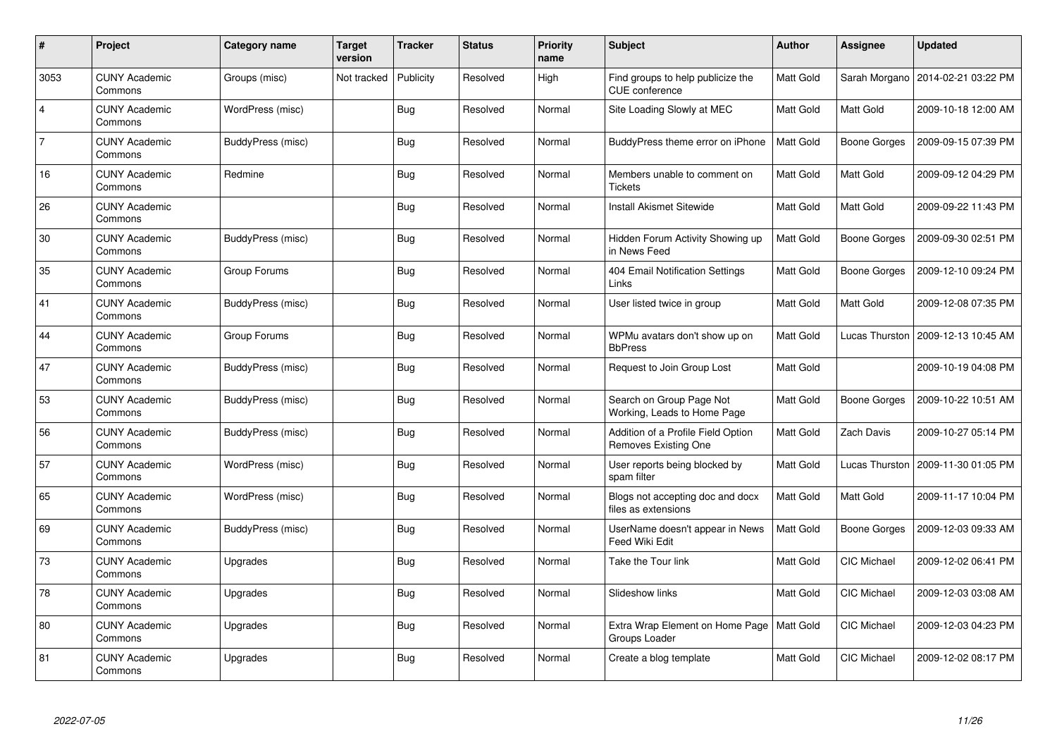| $\#$           | Project                         | Category name     | <b>Target</b><br>version | <b>Tracker</b> | <b>Status</b> | <b>Priority</b><br>name | <b>Subject</b>                                             | <b>Author</b>    | <b>Assignee</b>     | <b>Updated</b>                       |
|----------------|---------------------------------|-------------------|--------------------------|----------------|---------------|-------------------------|------------------------------------------------------------|------------------|---------------------|--------------------------------------|
| 3053           | <b>CUNY Academic</b><br>Commons | Groups (misc)     | Not tracked              | Publicity      | Resolved      | High                    | Find groups to help publicize the<br>CUE conference        | <b>Matt Gold</b> | Sarah Morgano       | 2014-02-21 03:22 PM                  |
| $\overline{4}$ | <b>CUNY Academic</b><br>Commons | WordPress (misc)  |                          | Bug            | Resolved      | Normal                  | Site Loading Slowly at MEC                                 | Matt Gold        | Matt Gold           | 2009-10-18 12:00 AM                  |
| $\overline{7}$ | <b>CUNY Academic</b><br>Commons | BuddyPress (misc) |                          | <b>Bug</b>     | Resolved      | Normal                  | BuddyPress theme error on iPhone                           | Matt Gold        | <b>Boone Gorges</b> | 2009-09-15 07:39 PM                  |
| 16             | <b>CUNY Academic</b><br>Commons | Redmine           |                          | Bug            | Resolved      | Normal                  | Members unable to comment on<br><b>Tickets</b>             | Matt Gold        | Matt Gold           | 2009-09-12 04:29 PM                  |
| 26             | <b>CUNY Academic</b><br>Commons |                   |                          | Bug            | Resolved      | Normal                  | <b>Install Akismet Sitewide</b>                            | Matt Gold        | Matt Gold           | 2009-09-22 11:43 PM                  |
| 30             | <b>CUNY Academic</b><br>Commons | BuddyPress (misc) |                          | Bug            | Resolved      | Normal                  | Hidden Forum Activity Showing up<br>in News Feed           | Matt Gold        | Boone Gorges        | 2009-09-30 02:51 PM                  |
| 35             | <b>CUNY Academic</b><br>Commons | Group Forums      |                          | <b>Bug</b>     | Resolved      | Normal                  | 404 Email Notification Settings<br>Links                   | Matt Gold        | Boone Gorges        | 2009-12-10 09:24 PM                  |
| 41             | <b>CUNY Academic</b><br>Commons | BuddyPress (misc) |                          | Bug            | Resolved      | Normal                  | User listed twice in group                                 | Matt Gold        | Matt Gold           | 2009-12-08 07:35 PM                  |
| 44             | <b>CUNY Academic</b><br>Commons | Group Forums      |                          | Bug            | Resolved      | Normal                  | WPMu avatars don't show up on<br><b>BbPress</b>            | <b>Matt Gold</b> | Lucas Thurston      | 2009-12-13 10:45 AM                  |
| 47             | <b>CUNY Academic</b><br>Commons | BuddyPress (misc) |                          | Bug            | Resolved      | Normal                  | Request to Join Group Lost                                 | Matt Gold        |                     | 2009-10-19 04:08 PM                  |
| 53             | <b>CUNY Academic</b><br>Commons | BuddyPress (misc) |                          | <b>Bug</b>     | Resolved      | Normal                  | Search on Group Page Not<br>Working, Leads to Home Page    | Matt Gold        | Boone Gorges        | 2009-10-22 10:51 AM                  |
| 56             | <b>CUNY Academic</b><br>Commons | BuddyPress (misc) |                          | Bug            | Resolved      | Normal                  | Addition of a Profile Field Option<br>Removes Existing One | Matt Gold        | Zach Davis          | 2009-10-27 05:14 PM                  |
| 57             | <b>CUNY Academic</b><br>Commons | WordPress (misc)  |                          | Bug            | Resolved      | Normal                  | User reports being blocked by<br>spam filter               | Matt Gold        |                     | Lucas Thurston   2009-11-30 01:05 PM |
| 65             | <b>CUNY Academic</b><br>Commons | WordPress (misc)  |                          | <b>Bug</b>     | Resolved      | Normal                  | Blogs not accepting doc and docx<br>files as extensions    | Matt Gold        | Matt Gold           | 2009-11-17 10:04 PM                  |
| 69             | <b>CUNY Academic</b><br>Commons | BuddyPress (misc) |                          | Bug            | Resolved      | Normal                  | UserName doesn't appear in News<br><b>Feed Wiki Edit</b>   | Matt Gold        | Boone Gorges        | 2009-12-03 09:33 AM                  |
| 73             | <b>CUNY Academic</b><br>Commons | Upgrades          |                          | <b>Bug</b>     | Resolved      | Normal                  | Take the Tour link                                         | Matt Gold        | CIC Michael         | 2009-12-02 06:41 PM                  |
| 78             | <b>CUNY Academic</b><br>Commons | Upgrades          |                          | Bug            | Resolved      | Normal                  | Slideshow links                                            | Matt Gold        | CIC Michael         | 2009-12-03 03:08 AM                  |
| 80             | <b>CUNY Academic</b><br>Commons | Upgrades          |                          | <b>Bug</b>     | Resolved      | Normal                  | Extra Wrap Element on Home Page<br>Groups Loader           | Matt Gold        | CIC Michael         | 2009-12-03 04:23 PM                  |
| 81             | <b>CUNY Academic</b><br>Commons | Upgrades          |                          | Bug            | Resolved      | Normal                  | Create a blog template                                     | Matt Gold        | <b>CIC Michael</b>  | 2009-12-02 08:17 PM                  |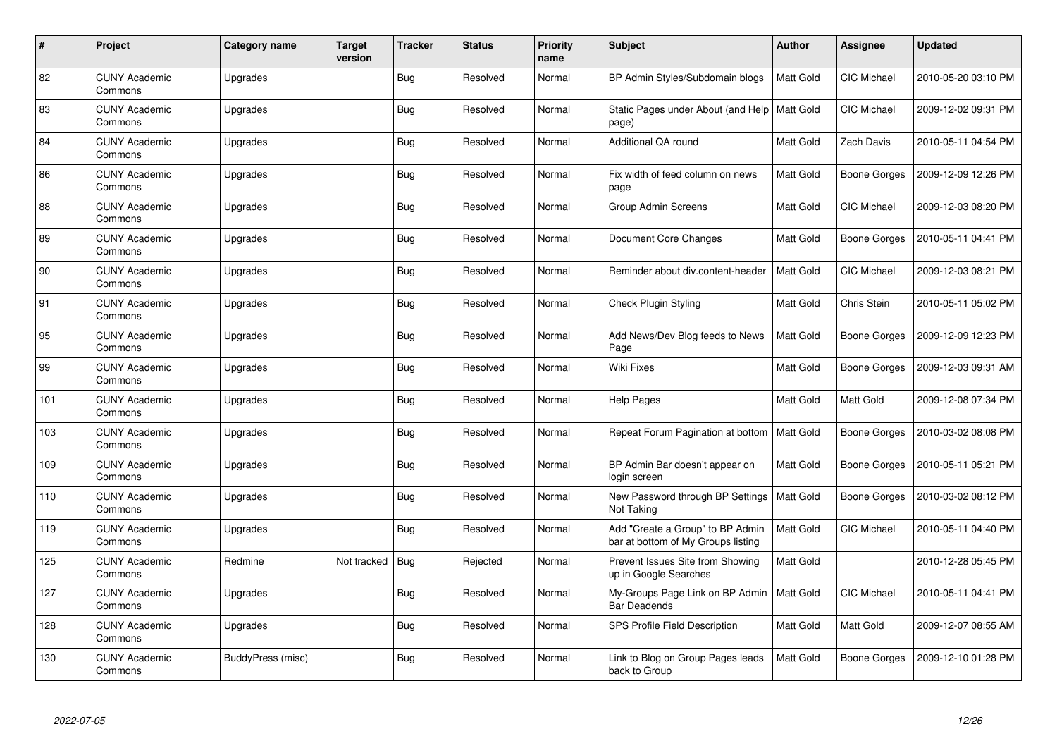| $\pmb{\#}$ | Project                         | Category name     | <b>Target</b><br>version | <b>Tracker</b> | <b>Status</b> | <b>Priority</b><br>name | <b>Subject</b>                                                         | <b>Author</b>    | <b>Assignee</b>     | <b>Updated</b>      |
|------------|---------------------------------|-------------------|--------------------------|----------------|---------------|-------------------------|------------------------------------------------------------------------|------------------|---------------------|---------------------|
| 82         | <b>CUNY Academic</b><br>Commons | Upgrades          |                          | Bug            | Resolved      | Normal                  | BP Admin Styles/Subdomain blogs                                        | <b>Matt Gold</b> | <b>CIC Michael</b>  | 2010-05-20 03:10 PM |
| 83         | <b>CUNY Academic</b><br>Commons | Upgrades          |                          | Bug            | Resolved      | Normal                  | Static Pages under About (and Help   Matt Gold<br>page)                |                  | CIC Michael         | 2009-12-02 09:31 PM |
| 84         | <b>CUNY Academic</b><br>Commons | Upgrades          |                          | Bug            | Resolved      | Normal                  | Additional QA round                                                    | Matt Gold        | Zach Davis          | 2010-05-11 04:54 PM |
| 86         | <b>CUNY Academic</b><br>Commons | Upgrades          |                          | Bug            | Resolved      | Normal                  | Fix width of feed column on news<br>page                               | Matt Gold        | Boone Gorges        | 2009-12-09 12:26 PM |
| 88         | <b>CUNY Academic</b><br>Commons | Upgrades          |                          | Bug            | Resolved      | Normal                  | Group Admin Screens                                                    | Matt Gold        | CIC Michael         | 2009-12-03 08:20 PM |
| 89         | <b>CUNY Academic</b><br>Commons | Upgrades          |                          | Bug            | Resolved      | Normal                  | Document Core Changes                                                  | Matt Gold        | Boone Gorges        | 2010-05-11 04:41 PM |
| 90         | <b>CUNY Academic</b><br>Commons | Upgrades          |                          | <b>Bug</b>     | Resolved      | Normal                  | Reminder about div.content-header                                      | Matt Gold        | <b>CIC Michael</b>  | 2009-12-03 08:21 PM |
| 91         | <b>CUNY Academic</b><br>Commons | Upgrades          |                          | Bug            | Resolved      | Normal                  | <b>Check Plugin Styling</b>                                            | Matt Gold        | Chris Stein         | 2010-05-11 05:02 PM |
| 95         | <b>CUNY Academic</b><br>Commons | Upgrades          |                          | Bug            | Resolved      | Normal                  | Add News/Dev Blog feeds to News<br>Page                                | Matt Gold        | Boone Gorges        | 2009-12-09 12:23 PM |
| 99         | <b>CUNY Academic</b><br>Commons | Upgrades          |                          | Bug            | Resolved      | Normal                  | <b>Wiki Fixes</b>                                                      | Matt Gold        | Boone Gorges        | 2009-12-03 09:31 AM |
| 101        | <b>CUNY Academic</b><br>Commons | Upgrades          |                          | Bug            | Resolved      | Normal                  | <b>Help Pages</b>                                                      | Matt Gold        | Matt Gold           | 2009-12-08 07:34 PM |
| 103        | <b>CUNY Academic</b><br>Commons | Upgrades          |                          | Bug            | Resolved      | Normal                  | Repeat Forum Pagination at bottom                                      | Matt Gold        | Boone Gorges        | 2010-03-02 08:08 PM |
| 109        | <b>CUNY Academic</b><br>Commons | Upgrades          |                          | Bug            | Resolved      | Normal                  | BP Admin Bar doesn't appear on<br>login screen                         | Matt Gold        | <b>Boone Gorges</b> | 2010-05-11 05:21 PM |
| 110        | <b>CUNY Academic</b><br>Commons | Upgrades          |                          | Bug            | Resolved      | Normal                  | New Password through BP Settings<br>Not Taking                         | Matt Gold        | Boone Gorges        | 2010-03-02 08:12 PM |
| 119        | <b>CUNY Academic</b><br>Commons | Upgrades          |                          | Bug            | Resolved      | Normal                  | Add "Create a Group" to BP Admin<br>bar at bottom of My Groups listing | Matt Gold        | <b>CIC Michael</b>  | 2010-05-11 04:40 PM |
| 125        | <b>CUNY Academic</b><br>Commons | Redmine           | Not tracked              | Bug            | Rejected      | Normal                  | Prevent Issues Site from Showing<br>up in Google Searches              | Matt Gold        |                     | 2010-12-28 05:45 PM |
| 127        | <b>CUNY Academic</b><br>Commons | Upgrades          |                          | <b>Bug</b>     | Resolved      | Normal                  | My-Groups Page Link on BP Admin<br><b>Bar Deadends</b>                 | Matt Gold        | CIC Michael         | 2010-05-11 04:41 PM |
| 128        | <b>CUNY Academic</b><br>Commons | Upgrades          |                          | Bug            | Resolved      | Normal                  | SPS Profile Field Description                                          | Matt Gold        | Matt Gold           | 2009-12-07 08:55 AM |
| 130        | <b>CUNY Academic</b><br>Commons | BuddyPress (misc) |                          | <b>Bug</b>     | Resolved      | Normal                  | Link to Blog on Group Pages leads<br>back to Group                     | Matt Gold        | Boone Gorges        | 2009-12-10 01:28 PM |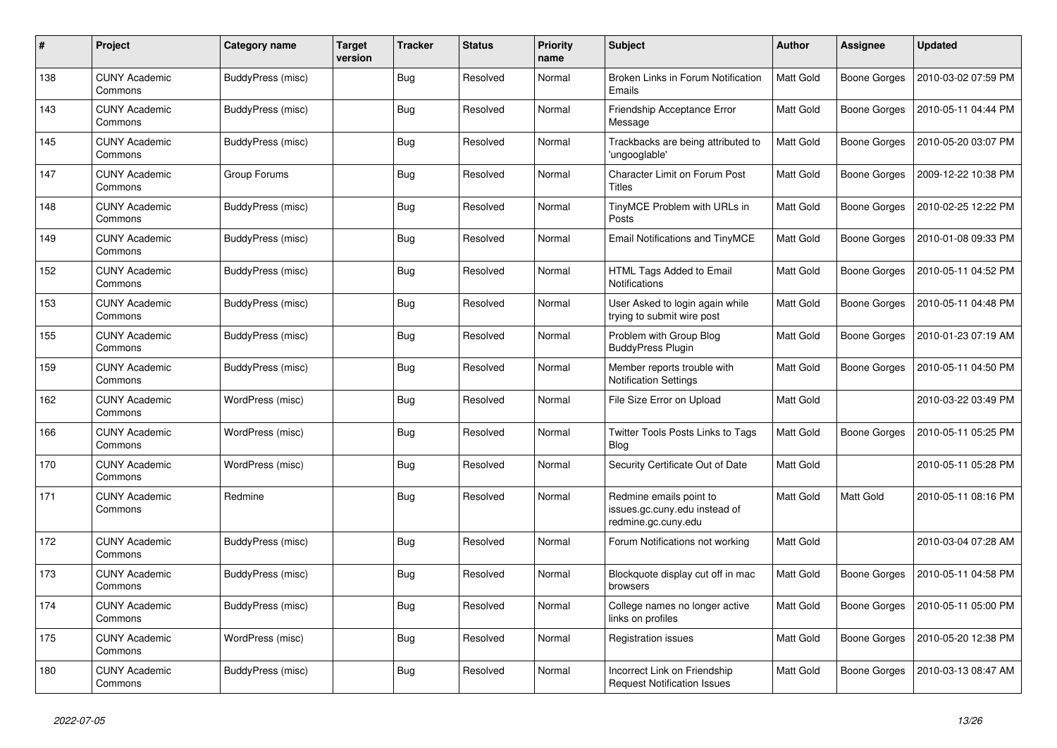| #   | Project                         | <b>Category name</b> | Target<br>version | <b>Tracker</b> | <b>Status</b> | <b>Priority</b><br>name | <b>Subject</b>                                                                  | <b>Author</b>    | Assignee            | <b>Updated</b>      |
|-----|---------------------------------|----------------------|-------------------|----------------|---------------|-------------------------|---------------------------------------------------------------------------------|------------------|---------------------|---------------------|
| 138 | <b>CUNY Academic</b><br>Commons | BuddyPress (misc)    |                   | <b>Bug</b>     | Resolved      | Normal                  | Broken Links in Forum Notification<br>Emails                                    | <b>Matt Gold</b> | <b>Boone Gorges</b> | 2010-03-02 07:59 PM |
| 143 | <b>CUNY Academic</b><br>Commons | BuddyPress (misc)    |                   | Bug            | Resolved      | Normal                  | Friendship Acceptance Error<br>Message                                          | Matt Gold        | Boone Gorges        | 2010-05-11 04:44 PM |
| 145 | <b>CUNY Academic</b><br>Commons | BuddyPress (misc)    |                   | <b>Bug</b>     | Resolved      | Normal                  | Trackbacks are being attributed to<br>'ungooglable'                             | Matt Gold        | Boone Gorges        | 2010-05-20 03:07 PM |
| 147 | <b>CUNY Academic</b><br>Commons | Group Forums         |                   | Bug            | Resolved      | Normal                  | Character Limit on Forum Post<br><b>Titles</b>                                  | Matt Gold        | <b>Boone Gorges</b> | 2009-12-22 10:38 PM |
| 148 | <b>CUNY Academic</b><br>Commons | BuddyPress (misc)    |                   | Bug            | Resolved      | Normal                  | TinyMCE Problem with URLs in<br>Posts                                           | Matt Gold        | Boone Gorges        | 2010-02-25 12:22 PM |
| 149 | <b>CUNY Academic</b><br>Commons | BuddyPress (misc)    |                   | <b>Bug</b>     | Resolved      | Normal                  | Email Notifications and TinyMCE                                                 | Matt Gold        | Boone Gorges        | 2010-01-08 09:33 PM |
| 152 | <b>CUNY Academic</b><br>Commons | BuddyPress (misc)    |                   | Bug            | Resolved      | Normal                  | HTML Tags Added to Email<br><b>Notifications</b>                                | Matt Gold        | Boone Gorges        | 2010-05-11 04:52 PM |
| 153 | <b>CUNY Academic</b><br>Commons | BuddyPress (misc)    |                   | Bug            | Resolved      | Normal                  | User Asked to login again while<br>trying to submit wire post                   | Matt Gold        | Boone Gorges        | 2010-05-11 04:48 PM |
| 155 | <b>CUNY Academic</b><br>Commons | BuddyPress (misc)    |                   | Bug            | Resolved      | Normal                  | Problem with Group Blog<br><b>BuddyPress Plugin</b>                             | Matt Gold        | Boone Gorges        | 2010-01-23 07:19 AM |
| 159 | CUNY Academic<br>Commons        | BuddyPress (misc)    |                   | Bug            | Resolved      | Normal                  | Member reports trouble with<br><b>Notification Settings</b>                     | Matt Gold        | Boone Gorges        | 2010-05-11 04:50 PM |
| 162 | <b>CUNY Academic</b><br>Commons | WordPress (misc)     |                   | Bug            | Resolved      | Normal                  | File Size Error on Upload                                                       | Matt Gold        |                     | 2010-03-22 03:49 PM |
| 166 | <b>CUNY Academic</b><br>Commons | WordPress (misc)     |                   | Bug            | Resolved      | Normal                  | <b>Twitter Tools Posts Links to Tags</b><br><b>Blog</b>                         | Matt Gold        | Boone Gorges        | 2010-05-11 05:25 PM |
| 170 | <b>CUNY Academic</b><br>Commons | WordPress (misc)     |                   | Bug            | Resolved      | Normal                  | Security Certificate Out of Date                                                | Matt Gold        |                     | 2010-05-11 05:28 PM |
| 171 | <b>CUNY Academic</b><br>Commons | Redmine              |                   | Bug            | Resolved      | Normal                  | Redmine emails point to<br>issues.gc.cuny.edu instead of<br>redmine.gc.cuny.edu | Matt Gold        | Matt Gold           | 2010-05-11 08:16 PM |
| 172 | <b>CUNY Academic</b><br>Commons | BuddyPress (misc)    |                   | <b>Bug</b>     | Resolved      | Normal                  | Forum Notifications not working                                                 | <b>Matt Gold</b> |                     | 2010-03-04 07:28 AM |
| 173 | <b>CUNY Academic</b><br>Commons | BuddyPress (misc)    |                   | Bug            | Resolved      | Normal                  | Blockquote display cut off in mac<br>browsers                                   | Matt Gold        | Boone Gorges        | 2010-05-11 04:58 PM |
| 174 | <b>CUNY Academic</b><br>Commons | BuddyPress (misc)    |                   | Bug            | Resolved      | Normal                  | College names no longer active<br>links on profiles                             | Matt Gold        | Boone Gorges        | 2010-05-11 05:00 PM |
| 175 | <b>CUNY Academic</b><br>Commons | WordPress (misc)     |                   | <b>Bug</b>     | Resolved      | Normal                  | <b>Registration issues</b>                                                      | Matt Gold        | Boone Gorges        | 2010-05-20 12:38 PM |
| 180 | <b>CUNY Academic</b><br>Commons | BuddyPress (misc)    |                   | Bug            | Resolved      | Normal                  | Incorrect Link on Friendship<br><b>Request Notification Issues</b>              | Matt Gold        | Boone Gorges        | 2010-03-13 08:47 AM |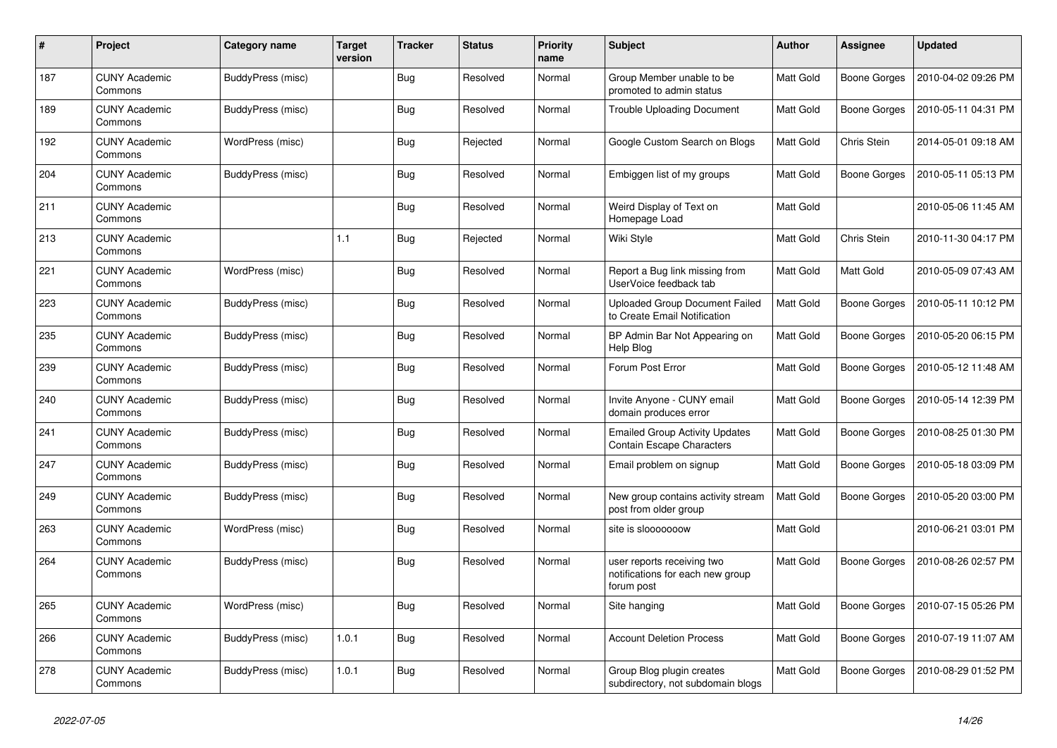| $\#$ | Project                         | Category name     | <b>Target</b><br>version | <b>Tracker</b> | <b>Status</b> | <b>Priority</b><br>name | <b>Subject</b>                                                               | <b>Author</b>    | Assignee            | <b>Updated</b>      |
|------|---------------------------------|-------------------|--------------------------|----------------|---------------|-------------------------|------------------------------------------------------------------------------|------------------|---------------------|---------------------|
| 187  | <b>CUNY Academic</b><br>Commons | BuddyPress (misc) |                          | Bug            | Resolved      | Normal                  | Group Member unable to be<br>promoted to admin status                        | Matt Gold        | <b>Boone Gorges</b> | 2010-04-02 09:26 PM |
| 189  | <b>CUNY Academic</b><br>Commons | BuddyPress (misc) |                          | <b>Bug</b>     | Resolved      | Normal                  | <b>Trouble Uploading Document</b>                                            | <b>Matt Gold</b> | Boone Gorges        | 2010-05-11 04:31 PM |
| 192  | <b>CUNY Academic</b><br>Commons | WordPress (misc)  |                          | <b>Bug</b>     | Rejected      | Normal                  | Google Custom Search on Blogs                                                | Matt Gold        | Chris Stein         | 2014-05-01 09:18 AM |
| 204  | <b>CUNY Academic</b><br>Commons | BuddyPress (misc) |                          | Bug            | Resolved      | Normal                  | Embiggen list of my groups                                                   | Matt Gold        | Boone Gorges        | 2010-05-11 05:13 PM |
| 211  | <b>CUNY Academic</b><br>Commons |                   |                          | <b>Bug</b>     | Resolved      | Normal                  | Weird Display of Text on<br>Homepage Load                                    | Matt Gold        |                     | 2010-05-06 11:45 AM |
| 213  | <b>CUNY Academic</b><br>Commons |                   | 1.1                      | <b>Bug</b>     | Rejected      | Normal                  | Wiki Style                                                                   | Matt Gold        | Chris Stein         | 2010-11-30 04:17 PM |
| 221  | <b>CUNY Academic</b><br>Commons | WordPress (misc)  |                          | <b>Bug</b>     | Resolved      | Normal                  | Report a Bug link missing from<br>UserVoice feedback tab                     | Matt Gold        | Matt Gold           | 2010-05-09 07:43 AM |
| 223  | <b>CUNY Academic</b><br>Commons | BuddyPress (misc) |                          | Bug            | Resolved      | Normal                  | <b>Uploaded Group Document Failed</b><br>to Create Email Notification        | Matt Gold        | Boone Gorges        | 2010-05-11 10:12 PM |
| 235  | <b>CUNY Academic</b><br>Commons | BuddyPress (misc) |                          | <b>Bug</b>     | Resolved      | Normal                  | BP Admin Bar Not Appearing on<br>Help Blog                                   | Matt Gold        | <b>Boone Gorges</b> | 2010-05-20 06:15 PM |
| 239  | <b>CUNY Academic</b><br>Commons | BuddyPress (misc) |                          | Bug            | Resolved      | Normal                  | Forum Post Error                                                             | Matt Gold        | Boone Gorges        | 2010-05-12 11:48 AM |
| 240  | <b>CUNY Academic</b><br>Commons | BuddyPress (misc) |                          | Bug            | Resolved      | Normal                  | Invite Anyone - CUNY email<br>domain produces error                          | Matt Gold        | <b>Boone Gorges</b> | 2010-05-14 12:39 PM |
| 241  | <b>CUNY Academic</b><br>Commons | BuddyPress (misc) |                          | <b>Bug</b>     | Resolved      | Normal                  | <b>Emailed Group Activity Updates</b><br><b>Contain Escape Characters</b>    | Matt Gold        | Boone Gorges        | 2010-08-25 01:30 PM |
| 247  | <b>CUNY Academic</b><br>Commons | BuddyPress (misc) |                          | Bug            | Resolved      | Normal                  | Email problem on signup                                                      | Matt Gold        | <b>Boone Gorges</b> | 2010-05-18 03:09 PM |
| 249  | <b>CUNY Academic</b><br>Commons | BuddyPress (misc) |                          | <b>Bug</b>     | Resolved      | Normal                  | New group contains activity stream<br>post from older group                  | Matt Gold        | Boone Gorges        | 2010-05-20 03:00 PM |
| 263  | <b>CUNY Academic</b><br>Commons | WordPress (misc)  |                          | <b>Bug</b>     | Resolved      | Normal                  | site is slooooooow                                                           | <b>Matt Gold</b> |                     | 2010-06-21 03:01 PM |
| 264  | <b>CUNY Academic</b><br>Commons | BuddyPress (misc) |                          | Bug            | Resolved      | Normal                  | user reports receiving two<br>notifications for each new group<br>forum post | Matt Gold        | <b>Boone Gorges</b> | 2010-08-26 02:57 PM |
| 265  | <b>CUNY Academic</b><br>Commons | WordPress (misc)  |                          | Bug            | Resolved      | Normal                  | Site hanging                                                                 | Matt Gold        | Boone Gorges        | 2010-07-15 05:26 PM |
| 266  | <b>CUNY Academic</b><br>Commons | BuddyPress (misc) | 1.0.1                    | <b>Bug</b>     | Resolved      | Normal                  | <b>Account Deletion Process</b>                                              | Matt Gold        | Boone Gorges        | 2010-07-19 11:07 AM |
| 278  | <b>CUNY Academic</b><br>Commons | BuddyPress (misc) | 1.0.1                    | Bug            | Resolved      | Normal                  | Group Blog plugin creates<br>subdirectory, not subdomain blogs               | Matt Gold        | Boone Gorges        | 2010-08-29 01:52 PM |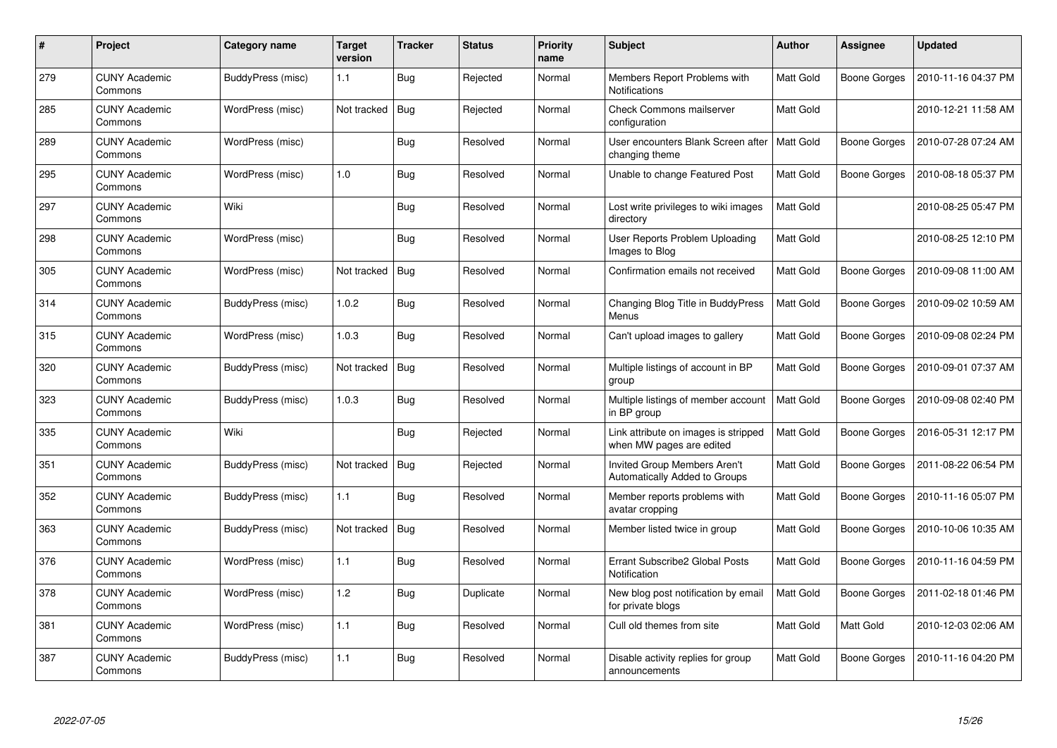| #   | Project                         | Category name     | <b>Target</b><br>version | <b>Tracker</b> | <b>Status</b> | <b>Priority</b><br>name | <b>Subject</b>                                                   | <b>Author</b>    | Assignee     | Updated             |
|-----|---------------------------------|-------------------|--------------------------|----------------|---------------|-------------------------|------------------------------------------------------------------|------------------|--------------|---------------------|
| 279 | <b>CUNY Academic</b><br>Commons | BuddyPress (misc) | 1.1                      | Bug            | Rejected      | Normal                  | Members Report Problems with<br>Notifications                    | Matt Gold        | Boone Gorges | 2010-11-16 04:37 PM |
| 285 | <b>CUNY Academic</b><br>Commons | WordPress (misc)  | Not tracked              | Bug            | Rejected      | Normal                  | <b>Check Commons mailserver</b><br>configuration                 | Matt Gold        |              | 2010-12-21 11:58 AM |
| 289 | <b>CUNY Academic</b><br>Commons | WordPress (misc)  |                          | Bug            | Resolved      | Normal                  | User encounters Blank Screen after<br>changing theme             | Matt Gold        | Boone Gorges | 2010-07-28 07:24 AM |
| 295 | CUNY Academic<br>Commons        | WordPress (misc)  | 1.0                      | <b>Bug</b>     | Resolved      | Normal                  | Unable to change Featured Post                                   | Matt Gold        | Boone Gorges | 2010-08-18 05:37 PM |
| 297 | <b>CUNY Academic</b><br>Commons | Wiki              |                          | <b>Bug</b>     | Resolved      | Normal                  | Lost write privileges to wiki images<br>directory                | <b>Matt Gold</b> |              | 2010-08-25 05:47 PM |
| 298 | <b>CUNY Academic</b><br>Commons | WordPress (misc)  |                          | <b>Bug</b>     | Resolved      | Normal                  | User Reports Problem Uploading<br>Images to Blog                 | Matt Gold        |              | 2010-08-25 12:10 PM |
| 305 | <b>CUNY Academic</b><br>Commons | WordPress (misc)  | Not tracked              | <b>Bug</b>     | Resolved      | Normal                  | Confirmation emails not received                                 | Matt Gold        | Boone Gorges | 2010-09-08 11:00 AM |
| 314 | <b>CUNY Academic</b><br>Commons | BuddyPress (misc) | 1.0.2                    | Bug            | Resolved      | Normal                  | Changing Blog Title in BuddyPress<br>Menus                       | Matt Gold        | Boone Gorges | 2010-09-02 10:59 AM |
| 315 | <b>CUNY Academic</b><br>Commons | WordPress (misc)  | 1.0.3                    | Bug            | Resolved      | Normal                  | Can't upload images to gallery                                   | <b>Matt Gold</b> | Boone Gorges | 2010-09-08 02:24 PM |
| 320 | <b>CUNY Academic</b><br>Commons | BuddyPress (misc) | Not tracked              | Bug            | Resolved      | Normal                  | Multiple listings of account in BP<br>group                      | Matt Gold        | Boone Gorges | 2010-09-01 07:37 AM |
| 323 | <b>CUNY Academic</b><br>Commons | BuddyPress (misc) | 1.0.3                    | <b>Bug</b>     | Resolved      | Normal                  | Multiple listings of member account<br>in BP group               | Matt Gold        | Boone Gorges | 2010-09-08 02:40 PM |
| 335 | <b>CUNY Academic</b><br>Commons | Wiki              |                          | <b>Bug</b>     | Rejected      | Normal                  | Link attribute on images is stripped<br>when MW pages are edited | Matt Gold        | Boone Gorges | 2016-05-31 12:17 PM |
| 351 | <b>CUNY Academic</b><br>Commons | BuddyPress (misc) | Not tracked              | <b>Bug</b>     | Rejected      | Normal                  | Invited Group Members Aren't<br>Automatically Added to Groups    | Matt Gold        | Boone Gorges | 2011-08-22 06:54 PM |
| 352 | <b>CUNY Academic</b><br>Commons | BuddyPress (misc) | 1.1                      | Bug            | Resolved      | Normal                  | Member reports problems with<br>avatar cropping                  | Matt Gold        | Boone Gorges | 2010-11-16 05:07 PM |
| 363 | CUNY Academic<br>Commons        | BuddyPress (misc) | Not tracked              | <b>Bug</b>     | Resolved      | Normal                  | Member listed twice in group                                     | Matt Gold        | Boone Gorges | 2010-10-06 10:35 AM |
| 376 | <b>CUNY Academic</b><br>Commons | WordPress (misc)  | 1.1                      | Bug            | Resolved      | Normal                  | Errant Subscribe2 Global Posts<br>Notification                   | Matt Gold        | Boone Gorges | 2010-11-16 04:59 PM |
| 378 | <b>CUNY Academic</b><br>Commons | WordPress (misc)  | 1.2                      | Bug            | Duplicate     | Normal                  | New blog post notification by email<br>for private blogs         | Matt Gold        | Boone Gorges | 2011-02-18 01:46 PM |
| 381 | <b>CUNY Academic</b><br>Commons | WordPress (misc)  | 1.1                      | Bug            | Resolved      | Normal                  | Cull old themes from site                                        | Matt Gold        | Matt Gold    | 2010-12-03 02:06 AM |
| 387 | CUNY Academic<br>Commons        | BuddyPress (misc) | 1.1                      | <b>Bug</b>     | Resolved      | Normal                  | Disable activity replies for group<br>announcements              | Matt Gold        | Boone Gorges | 2010-11-16 04:20 PM |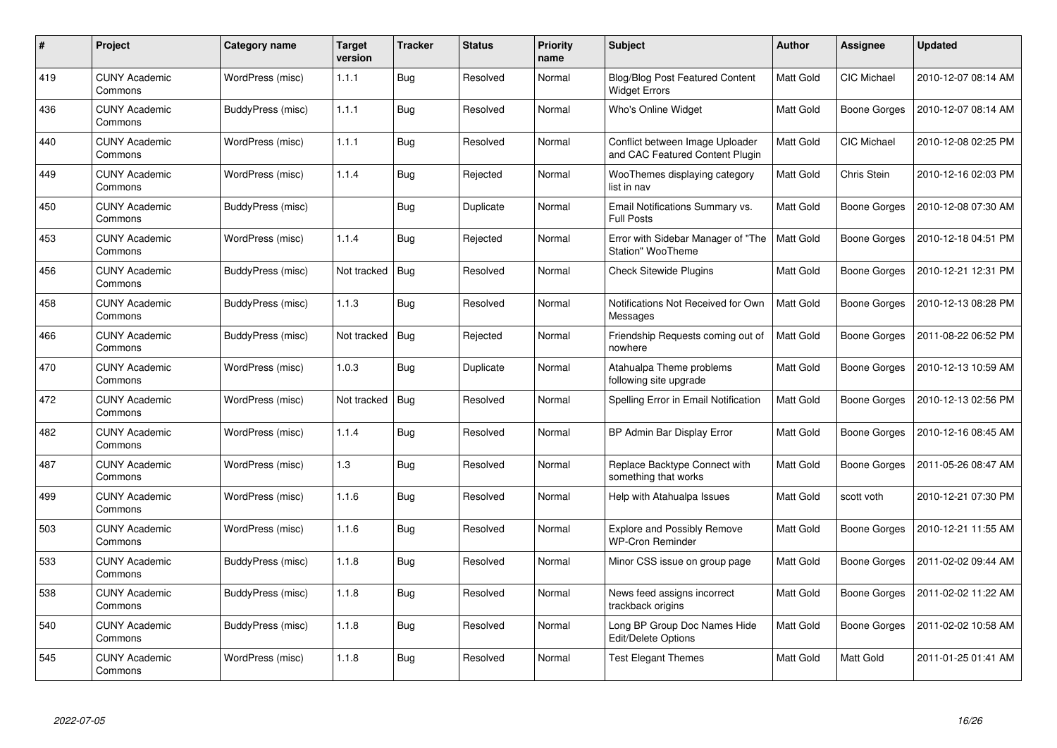| #   | Project                         | Category name     | <b>Target</b><br>version | <b>Tracker</b> | <b>Status</b> | <b>Priority</b><br>name | <b>Subject</b>                                                     | <b>Author</b>    | Assignee            | <b>Updated</b>      |
|-----|---------------------------------|-------------------|--------------------------|----------------|---------------|-------------------------|--------------------------------------------------------------------|------------------|---------------------|---------------------|
| 419 | <b>CUNY Academic</b><br>Commons | WordPress (misc)  | 1.1.1                    | Bug            | Resolved      | Normal                  | <b>Blog/Blog Post Featured Content</b><br><b>Widget Errors</b>     | Matt Gold        | <b>CIC Michael</b>  | 2010-12-07 08:14 AM |
| 436 | <b>CUNY Academic</b><br>Commons | BuddyPress (misc) | 1.1.1                    | <b>Bug</b>     | Resolved      | Normal                  | <b>Who's Online Widget</b>                                         | Matt Gold        | Boone Gorges        | 2010-12-07 08:14 AM |
| 440 | <b>CUNY Academic</b><br>Commons | WordPress (misc)  | 1.1.1                    | Bug            | Resolved      | Normal                  | Conflict between Image Uploader<br>and CAC Featured Content Plugin | Matt Gold        | <b>CIC Michael</b>  | 2010-12-08 02:25 PM |
| 449 | <b>CUNY Academic</b><br>Commons | WordPress (misc)  | 1.1.4                    | Bug            | Rejected      | Normal                  | WooThemes displaying category<br>list in nav                       | Matt Gold        | Chris Stein         | 2010-12-16 02:03 PM |
| 450 | <b>CUNY Academic</b><br>Commons | BuddyPress (misc) |                          | Bug            | Duplicate     | Normal                  | Email Notifications Summary vs.<br><b>Full Posts</b>               | Matt Gold        | <b>Boone Gorges</b> | 2010-12-08 07:30 AM |
| 453 | <b>CUNY Academic</b><br>Commons | WordPress (misc)  | 1.1.4                    | Bug            | Rejected      | Normal                  | Error with Sidebar Manager of "The<br><b>Station" WooTheme</b>     | <b>Matt Gold</b> | Boone Gorges        | 2010-12-18 04:51 PM |
| 456 | <b>CUNY Academic</b><br>Commons | BuddyPress (misc) | Not tracked              | <b>Bug</b>     | Resolved      | Normal                  | <b>Check Sitewide Plugins</b>                                      | Matt Gold        | Boone Gorges        | 2010-12-21 12:31 PM |
| 458 | <b>CUNY Academic</b><br>Commons | BuddyPress (misc) | 1.1.3                    | Bug            | Resolved      | Normal                  | Notifications Not Received for Own<br>Messages                     | Matt Gold        | Boone Gorges        | 2010-12-13 08:28 PM |
| 466 | <b>CUNY Academic</b><br>Commons | BuddyPress (misc) | Not tracked              | <b>Bug</b>     | Rejected      | Normal                  | Friendship Requests coming out of<br>nowhere                       | <b>Matt Gold</b> | Boone Gorges        | 2011-08-22 06:52 PM |
| 470 | <b>CUNY Academic</b><br>Commons | WordPress (misc)  | 1.0.3                    | Bug            | Duplicate     | Normal                  | Atahualpa Theme problems<br>following site upgrade                 | Matt Gold        | Boone Gorges        | 2010-12-13 10:59 AM |
| 472 | <b>CUNY Academic</b><br>Commons | WordPress (misc)  | Not tracked              | Bug            | Resolved      | Normal                  | Spelling Error in Email Notification                               | Matt Gold        | Boone Gorges        | 2010-12-13 02:56 PM |
| 482 | <b>CUNY Academic</b><br>Commons | WordPress (misc)  | 1.1.4                    | Bug            | Resolved      | Normal                  | BP Admin Bar Display Error                                         | Matt Gold        | Boone Gorges        | 2010-12-16 08:45 AM |
| 487 | <b>CUNY Academic</b><br>Commons | WordPress (misc)  | 1.3                      | <b>Bug</b>     | Resolved      | Normal                  | Replace Backtype Connect with<br>something that works              | Matt Gold        | Boone Gorges        | 2011-05-26 08:47 AM |
| 499 | <b>CUNY Academic</b><br>Commons | WordPress (misc)  | 1.1.6                    | Bug            | Resolved      | Normal                  | Help with Atahualpa Issues                                         | Matt Gold        | scott voth          | 2010-12-21 07:30 PM |
| 503 | <b>CUNY Academic</b><br>Commons | WordPress (misc)  | 1.1.6                    | Bug            | Resolved      | Normal                  | <b>Explore and Possibly Remove</b><br><b>WP-Cron Reminder</b>      | Matt Gold        | Boone Gorges        | 2010-12-21 11:55 AM |
| 533 | <b>CUNY Academic</b><br>Commons | BuddyPress (misc) | 1.1.8                    | Bug            | Resolved      | Normal                  | Minor CSS issue on group page                                      | Matt Gold        | Boone Gorges        | 2011-02-02 09:44 AM |
| 538 | <b>CUNY Academic</b><br>Commons | BuddyPress (misc) | 1.1.8                    | Bug            | Resolved      | Normal                  | News feed assigns incorrect<br>trackback origins                   | Matt Gold        | Boone Gorges        | 2011-02-02 11:22 AM |
| 540 | <b>CUNY Academic</b><br>Commons | BuddyPress (misc) | 1.1.8                    | Bug            | Resolved      | Normal                  | Long BP Group Doc Names Hide<br>Edit/Delete Options                | Matt Gold        | Boone Gorges        | 2011-02-02 10:58 AM |
| 545 | <b>CUNY Academic</b><br>Commons | WordPress (misc)  | 1.1.8                    | <b>Bug</b>     | Resolved      | Normal                  | <b>Test Elegant Themes</b>                                         | Matt Gold        | Matt Gold           | 2011-01-25 01:41 AM |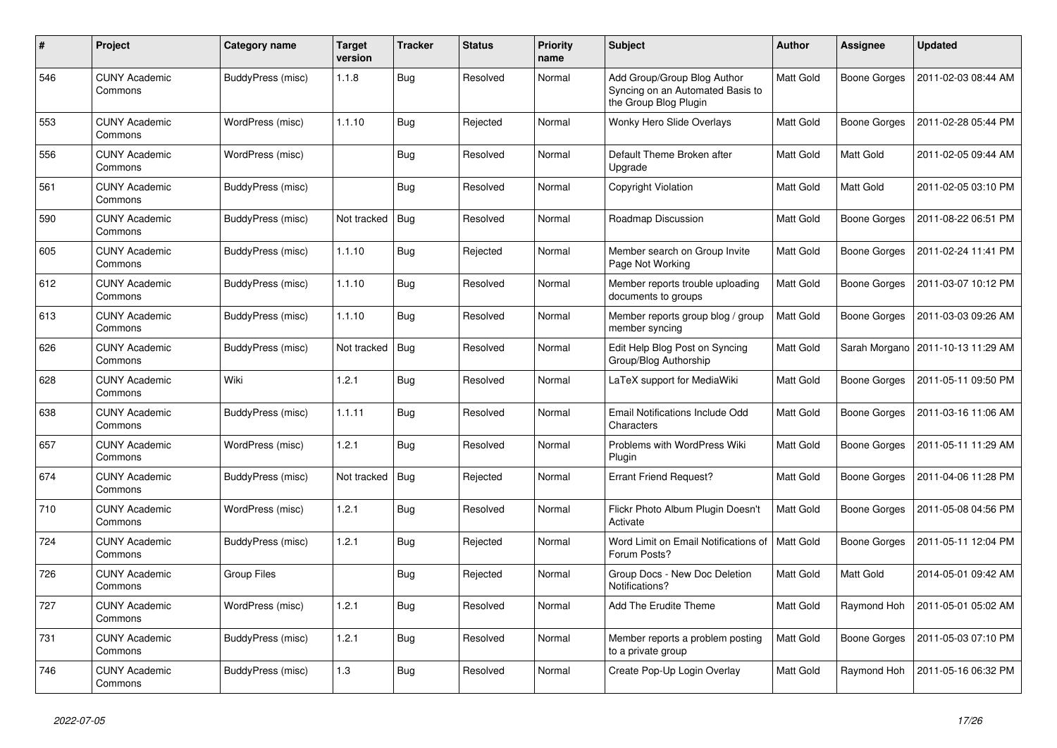| $\#$ | Project                         | Category name     | <b>Target</b><br>version | <b>Tracker</b> | <b>Status</b> | <b>Priority</b><br>name | <b>Subject</b>                                                                           | <b>Author</b>    | Assignee            | <b>Updated</b>                      |
|------|---------------------------------|-------------------|--------------------------|----------------|---------------|-------------------------|------------------------------------------------------------------------------------------|------------------|---------------------|-------------------------------------|
| 546  | <b>CUNY Academic</b><br>Commons | BuddyPress (misc) | 1.1.8                    | Bug            | Resolved      | Normal                  | Add Group/Group Blog Author<br>Syncing on an Automated Basis to<br>the Group Blog Plugin | Matt Gold        | <b>Boone Gorges</b> | 2011-02-03 08:44 AM                 |
| 553  | <b>CUNY Academic</b><br>Commons | WordPress (misc)  | 1.1.10                   | Bug            | Rejected      | Normal                  | Wonky Hero Slide Overlays                                                                | Matt Gold        | <b>Boone Gorges</b> | 2011-02-28 05:44 PM                 |
| 556  | <b>CUNY Academic</b><br>Commons | WordPress (misc)  |                          | <b>Bug</b>     | Resolved      | Normal                  | Default Theme Broken after<br>Upgrade                                                    | Matt Gold        | Matt Gold           | 2011-02-05 09:44 AM                 |
| 561  | <b>CUNY Academic</b><br>Commons | BuddyPress (misc) |                          | <b>Bug</b>     | Resolved      | Normal                  | Copyright Violation                                                                      | Matt Gold        | Matt Gold           | 2011-02-05 03:10 PM                 |
| 590  | <b>CUNY Academic</b><br>Commons | BuddyPress (misc) | Not tracked              | Bug            | Resolved      | Normal                  | Roadmap Discussion                                                                       | Matt Gold        | <b>Boone Gorges</b> | 2011-08-22 06:51 PM                 |
| 605  | <b>CUNY Academic</b><br>Commons | BuddyPress (misc) | 1.1.10                   | <b>Bug</b>     | Rejected      | Normal                  | Member search on Group Invite<br>Page Not Working                                        | Matt Gold        | Boone Gorges        | 2011-02-24 11:41 PM                 |
| 612  | <b>CUNY Academic</b><br>Commons | BuddyPress (misc) | 1.1.10                   | Bug            | Resolved      | Normal                  | Member reports trouble uploading<br>documents to groups                                  | <b>Matt Gold</b> | <b>Boone Gorges</b> | 2011-03-07 10:12 PM                 |
| 613  | <b>CUNY Academic</b><br>Commons | BuddyPress (misc) | 1.1.10                   | Bug            | Resolved      | Normal                  | Member reports group blog / group<br>member syncing                                      | Matt Gold        | Boone Gorges        | 2011-03-03 09:26 AM                 |
| 626  | <b>CUNY Academic</b><br>Commons | BuddyPress (misc) | Not tracked              | Bug            | Resolved      | Normal                  | Edit Help Blog Post on Syncing<br>Group/Blog Authorship                                  | Matt Gold        |                     | Sarah Morgano   2011-10-13 11:29 AM |
| 628  | <b>CUNY Academic</b><br>Commons | Wiki              | 1.2.1                    | Bug            | Resolved      | Normal                  | LaTeX support for MediaWiki                                                              | Matt Gold        | <b>Boone Gorges</b> | 2011-05-11 09:50 PM                 |
| 638  | <b>CUNY Academic</b><br>Commons | BuddyPress (misc) | 1.1.11                   | Bug            | Resolved      | Normal                  | Email Notifications Include Odd<br>Characters                                            | Matt Gold        | <b>Boone Gorges</b> | 2011-03-16 11:06 AM                 |
| 657  | <b>CUNY Academic</b><br>Commons | WordPress (misc)  | 1.2.1                    | Bug            | Resolved      | Normal                  | Problems with WordPress Wiki<br>Plugin                                                   | <b>Matt Gold</b> | Boone Gorges        | 2011-05-11 11:29 AM                 |
| 674  | <b>CUNY Academic</b><br>Commons | BuddyPress (misc) | Not tracked              | Bug            | Rejected      | Normal                  | <b>Errant Friend Request?</b>                                                            | Matt Gold        | Boone Gorges        | 2011-04-06 11:28 PM                 |
| 710  | <b>CUNY Academic</b><br>Commons | WordPress (misc)  | 1.2.1                    | <b>Bug</b>     | Resolved      | Normal                  | Flickr Photo Album Plugin Doesn't<br>Activate                                            | Matt Gold        | Boone Gorges        | 2011-05-08 04:56 PM                 |
| 724  | <b>CUNY Academic</b><br>Commons | BuddyPress (misc) | 1.2.1                    | <b>Bug</b>     | Rejected      | Normal                  | Word Limit on Email Notifications of<br>Forum Posts?                                     | Matt Gold        | Boone Gorges        | 2011-05-11 12:04 PM                 |
| 726  | <b>CUNY Academic</b><br>Commons | Group Files       |                          | <b>Bug</b>     | Rejected      | Normal                  | Group Docs - New Doc Deletion<br>Notifications?                                          | Matt Gold        | Matt Gold           | 2014-05-01 09:42 AM                 |
| 727  | <b>CUNY Academic</b><br>Commons | WordPress (misc)  | 1.2.1                    | <b>Bug</b>     | Resolved      | Normal                  | Add The Erudite Theme                                                                    | Matt Gold        | Raymond Hoh         | 2011-05-01 05:02 AM                 |
| 731  | <b>CUNY Academic</b><br>Commons | BuddyPress (misc) | 1.2.1                    | Bug            | Resolved      | Normal                  | Member reports a problem posting<br>to a private group                                   | <b>Matt Gold</b> | Boone Gorges        | 2011-05-03 07:10 PM                 |
| 746  | <b>CUNY Academic</b><br>Commons | BuddyPress (misc) | 1.3                      | <b>Bug</b>     | Resolved      | Normal                  | Create Pop-Up Login Overlay                                                              | Matt Gold        | Raymond Hoh         | 2011-05-16 06:32 PM                 |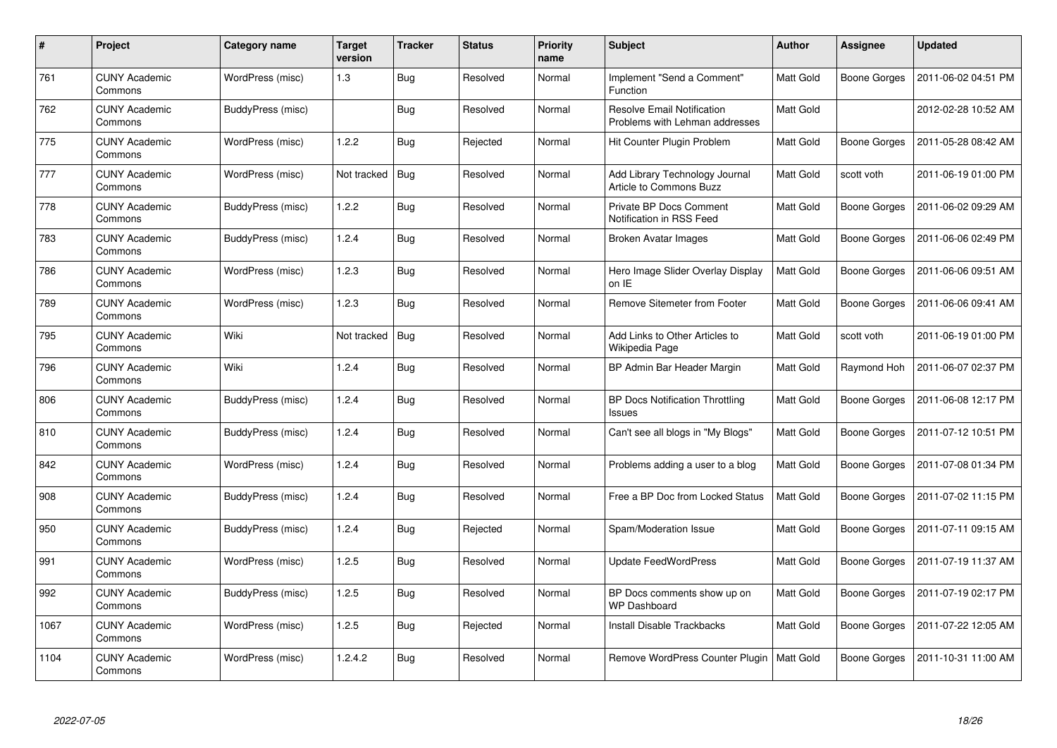| #    | Project                         | Category name     | <b>Target</b><br>version | <b>Tracker</b> | <b>Status</b> | <b>Priority</b><br>name | <b>Subject</b>                                                      | <b>Author</b> | Assignee            | <b>Updated</b>      |
|------|---------------------------------|-------------------|--------------------------|----------------|---------------|-------------------------|---------------------------------------------------------------------|---------------|---------------------|---------------------|
| 761  | <b>CUNY Academic</b><br>Commons | WordPress (misc)  | 1.3                      | <b>Bug</b>     | Resolved      | Normal                  | Implement "Send a Comment"<br>Function                              | Matt Gold     | Boone Gorges        | 2011-06-02 04:51 PM |
| 762  | <b>CUNY Academic</b><br>Commons | BuddyPress (misc) |                          | Bug            | Resolved      | Normal                  | <b>Resolve Email Notification</b><br>Problems with Lehman addresses | Matt Gold     |                     | 2012-02-28 10:52 AM |
| 775  | <b>CUNY Academic</b><br>Commons | WordPress (misc)  | 1.2.2                    | Bug            | Rejected      | Normal                  | Hit Counter Plugin Problem                                          | Matt Gold     | Boone Gorges        | 2011-05-28 08:42 AM |
| 777  | CUNY Academic<br>Commons        | WordPress (misc)  | Not tracked              | Bug            | Resolved      | Normal                  | Add Library Technology Journal<br>Article to Commons Buzz           | Matt Gold     | scott voth          | 2011-06-19 01:00 PM |
| 778  | <b>CUNY Academic</b><br>Commons | BuddyPress (misc) | 1.2.2                    | Bug            | Resolved      | Normal                  | Private BP Docs Comment<br>Notification in RSS Feed                 | Matt Gold     | <b>Boone Gorges</b> | 2011-06-02 09:29 AM |
| 783  | <b>CUNY Academic</b><br>Commons | BuddyPress (misc) | 1.2.4                    | <b>Bug</b>     | Resolved      | Normal                  | Broken Avatar Images                                                | Matt Gold     | Boone Gorges        | 2011-06-06 02:49 PM |
| 786  | <b>CUNY Academic</b><br>Commons | WordPress (misc)  | 1.2.3                    | <b>Bug</b>     | Resolved      | Normal                  | Hero Image Slider Overlay Display<br>on IE                          | Matt Gold     | Boone Gorges        | 2011-06-06 09:51 AM |
| 789  | <b>CUNY Academic</b><br>Commons | WordPress (misc)  | 1.2.3                    | <b>Bug</b>     | Resolved      | Normal                  | Remove Sitemeter from Footer                                        | Matt Gold     | Boone Gorges        | 2011-06-06 09:41 AM |
| 795  | <b>CUNY Academic</b><br>Commons | Wiki              | Not tracked              | <b>Bug</b>     | Resolved      | Normal                  | Add Links to Other Articles to<br>Wikipedia Page                    | Matt Gold     | scott voth          | 2011-06-19 01:00 PM |
| 796  | <b>CUNY Academic</b><br>Commons | Wiki              | 1.2.4                    | <b>Bug</b>     | Resolved      | Normal                  | BP Admin Bar Header Margin                                          | Matt Gold     | Raymond Hoh         | 2011-06-07 02:37 PM |
| 806  | <b>CUNY Academic</b><br>Commons | BuddyPress (misc) | 1.2.4                    | Bug            | Resolved      | Normal                  | <b>BP Docs Notification Throttling</b><br><b>Issues</b>             | Matt Gold     | Boone Gorges        | 2011-06-08 12:17 PM |
| 810  | <b>CUNY Academic</b><br>Commons | BuddyPress (misc) | 1.2.4                    | <b>Bug</b>     | Resolved      | Normal                  | Can't see all blogs in "My Blogs"                                   | Matt Gold     | Boone Gorges        | 2011-07-12 10:51 PM |
| 842  | <b>CUNY Academic</b><br>Commons | WordPress (misc)  | 1.2.4                    | Bug            | Resolved      | Normal                  | Problems adding a user to a blog                                    | Matt Gold     | Boone Gorges        | 2011-07-08 01:34 PM |
| 908  | <b>CUNY Academic</b><br>Commons | BuddyPress (misc) | 1.2.4                    | <b>Bug</b>     | Resolved      | Normal                  | Free a BP Doc from Locked Status                                    | Matt Gold     | Boone Gorges        | 2011-07-02 11:15 PM |
| 950  | CUNY Academic<br>Commons        | BuddyPress (misc) | 1.2.4                    | <b>Bug</b>     | Rejected      | Normal                  | Spam/Moderation Issue                                               | Matt Gold     | Boone Gorges        | 2011-07-11 09:15 AM |
| 991  | <b>CUNY Academic</b><br>Commons | WordPress (misc)  | 1.2.5                    | <b>Bug</b>     | Resolved      | Normal                  | <b>Update FeedWordPress</b>                                         | Matt Gold     | Boone Gorges        | 2011-07-19 11:37 AM |
| 992  | <b>CUNY Academic</b><br>Commons | BuddyPress (misc) | 1.2.5                    | <b>Bug</b>     | Resolved      | Normal                  | BP Docs comments show up on<br><b>WP Dashboard</b>                  | Matt Gold     | Boone Gorges        | 2011-07-19 02:17 PM |
| 1067 | <b>CUNY Academic</b><br>Commons | WordPress (misc)  | 1.2.5                    | <b>Bug</b>     | Rejected      | Normal                  | Install Disable Trackbacks                                          | Matt Gold     | Boone Gorges        | 2011-07-22 12:05 AM |
| 1104 | <b>CUNY Academic</b><br>Commons | WordPress (misc)  | 1.2.4.2                  | <b>Bug</b>     | Resolved      | Normal                  | Remove WordPress Counter Plugin                                     | Matt Gold     | Boone Gorges        | 2011-10-31 11:00 AM |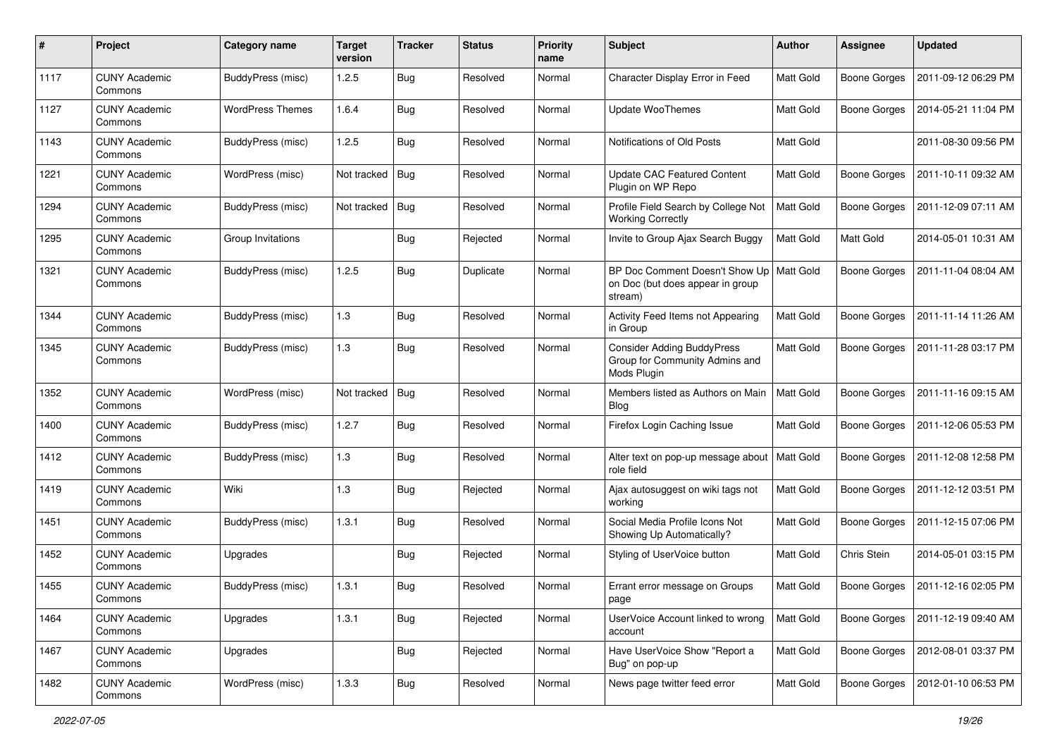| #    | Project                         | Category name            | <b>Target</b><br>version | <b>Tracker</b> | <b>Status</b> | <b>Priority</b><br>name | <b>Subject</b>                                                                     | Author    | <b>Assignee</b>     | <b>Updated</b>      |
|------|---------------------------------|--------------------------|--------------------------|----------------|---------------|-------------------------|------------------------------------------------------------------------------------|-----------|---------------------|---------------------|
| 1117 | <b>CUNY Academic</b><br>Commons | BuddyPress (misc)        | 1.2.5                    | Bug            | Resolved      | Normal                  | Character Display Error in Feed                                                    | Matt Gold | <b>Boone Gorges</b> | 2011-09-12 06:29 PM |
| 1127 | <b>CUNY Academic</b><br>Commons | <b>WordPress Themes</b>  | 1.6.4                    | Bug            | Resolved      | Normal                  | <b>Update WooThemes</b>                                                            | Matt Gold | <b>Boone Gorges</b> | 2014-05-21 11:04 PM |
| 1143 | CUNY Academic<br>Commons        | BuddyPress (misc)        | 1.2.5                    | <b>Bug</b>     | Resolved      | Normal                  | Notifications of Old Posts                                                         | Matt Gold |                     | 2011-08-30 09:56 PM |
| 1221 | <b>CUNY Academic</b><br>Commons | WordPress (misc)         | Not tracked              | Bug            | Resolved      | Normal                  | <b>Update CAC Featured Content</b><br>Plugin on WP Repo                            | Matt Gold | <b>Boone Gorges</b> | 2011-10-11 09:32 AM |
| 1294 | <b>CUNY Academic</b><br>Commons | BuddyPress (misc)        | Not tracked              | <b>Bug</b>     | Resolved      | Normal                  | Profile Field Search by College Not<br><b>Working Correctly</b>                    | Matt Gold | <b>Boone Gorges</b> | 2011-12-09 07:11 AM |
| 1295 | <b>CUNY Academic</b><br>Commons | Group Invitations        |                          | Bug            | Rejected      | Normal                  | Invite to Group Ajax Search Buggy                                                  | Matt Gold | Matt Gold           | 2014-05-01 10:31 AM |
| 1321 | <b>CUNY Academic</b><br>Commons | BuddyPress (misc)        | 1.2.5                    | Bug            | Duplicate     | Normal                  | BP Doc Comment Doesn't Show Up<br>on Doc (but does appear in group<br>stream)      | Matt Gold | <b>Boone Gorges</b> | 2011-11-04 08:04 AM |
| 1344 | <b>CUNY Academic</b><br>Commons | BuddyPress (misc)        | 1.3                      | <b>Bug</b>     | Resolved      | Normal                  | Activity Feed Items not Appearing<br>in Group                                      | Matt Gold | <b>Boone Gorges</b> | 2011-11-14 11:26 AM |
| 1345 | <b>CUNY Academic</b><br>Commons | BuddyPress (misc)        | 1.3                      | Bug            | Resolved      | Normal                  | <b>Consider Adding BuddyPress</b><br>Group for Community Admins and<br>Mods Plugin | Matt Gold | <b>Boone Gorges</b> | 2011-11-28 03:17 PM |
| 1352 | <b>CUNY Academic</b><br>Commons | WordPress (misc)         | Not tracked              | Bug            | Resolved      | Normal                  | Members listed as Authors on Main<br>Blog                                          | Matt Gold | <b>Boone Gorges</b> | 2011-11-16 09:15 AM |
| 1400 | <b>CUNY Academic</b><br>Commons | BuddyPress (misc)        | 1.2.7                    | Bug            | Resolved      | Normal                  | Firefox Login Caching Issue                                                        | Matt Gold | <b>Boone Gorges</b> | 2011-12-06 05:53 PM |
| 1412 | <b>CUNY Academic</b><br>Commons | BuddyPress (misc)        | 1.3                      | <b>Bug</b>     | Resolved      | Normal                  | Alter text on pop-up message about<br>role field                                   | Matt Gold | <b>Boone Gorges</b> | 2011-12-08 12:58 PM |
| 1419 | <b>CUNY Academic</b><br>Commons | Wiki                     | 1.3                      | <b>Bug</b>     | Rejected      | Normal                  | Ajax autosuggest on wiki tags not<br>working                                       | Matt Gold | Boone Gorges        | 2011-12-12 03:51 PM |
| 1451 | <b>CUNY Academic</b><br>Commons | BuddyPress (misc)        | 1.3.1                    | <b>Bug</b>     | Resolved      | Normal                  | Social Media Profile Icons Not<br>Showing Up Automatically?                        | Matt Gold | <b>Boone Gorges</b> | 2011-12-15 07:06 PM |
| 1452 | <b>CUNY Academic</b><br>Commons | Upgrades                 |                          | <b>Bug</b>     | Rejected      | Normal                  | Styling of UserVoice button                                                        | Matt Gold | Chris Stein         | 2014-05-01 03:15 PM |
| 1455 | <b>CUNY Academic</b><br>Commons | <b>BuddyPress</b> (misc) | 1.3.1                    | <b>Bug</b>     | Resolved      | Normal                  | Errant error message on Groups<br>page                                             | Matt Gold | Boone Gorges        | 2011-12-16 02:05 PM |
| 1464 | <b>CUNY Academic</b><br>Commons | Upgrades                 | 1.3.1                    | <b>Bug</b>     | Rejected      | Normal                  | UserVoice Account linked to wrong<br>account                                       | Matt Gold | <b>Boone Gorges</b> | 2011-12-19 09:40 AM |
| 1467 | <b>CUNY Academic</b><br>Commons | Upgrades                 |                          | <b>Bug</b>     | Rejected      | Normal                  | Have UserVoice Show "Report a<br>Bug" on pop-up                                    | Matt Gold | <b>Boone Gorges</b> | 2012-08-01 03:37 PM |
| 1482 | <b>CUNY Academic</b><br>Commons | WordPress (misc)         | 1.3.3                    | <b>Bug</b>     | Resolved      | Normal                  | News page twitter feed error                                                       | Matt Gold | Boone Gorges        | 2012-01-10 06:53 PM |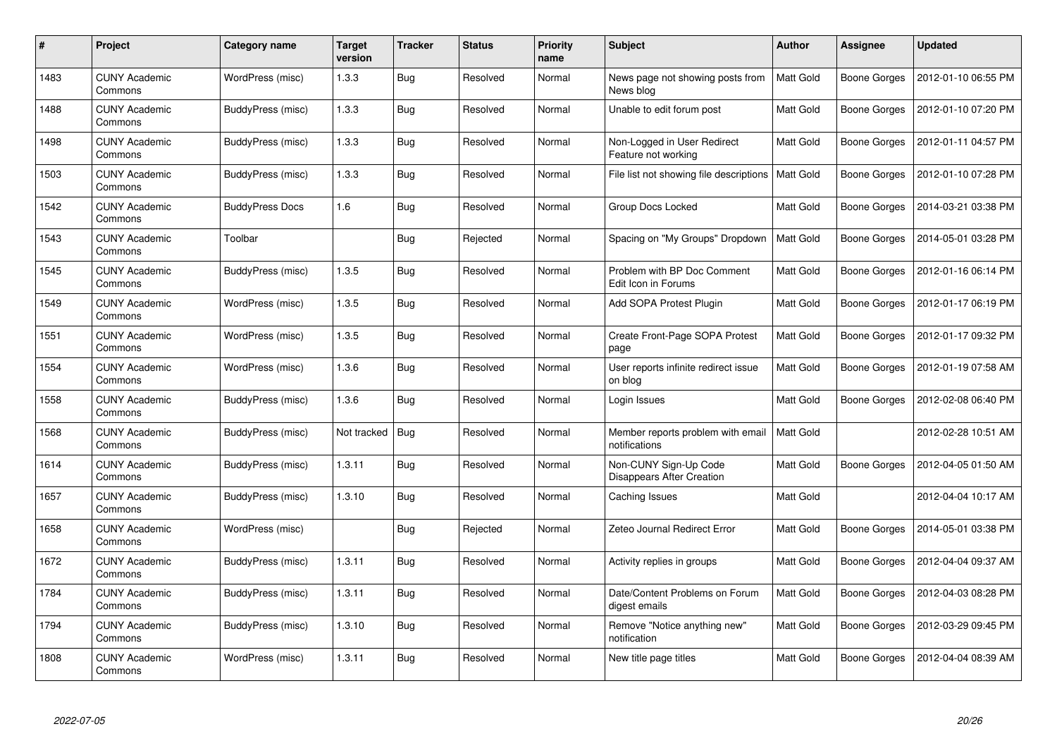| #    | Project                         | <b>Category name</b>   | Target<br>version | <b>Tracker</b> | <b>Status</b> | <b>Priority</b><br>name | <b>Subject</b>                                     | <b>Author</b>    | Assignee     | <b>Updated</b>      |
|------|---------------------------------|------------------------|-------------------|----------------|---------------|-------------------------|----------------------------------------------------|------------------|--------------|---------------------|
| 1483 | <b>CUNY Academic</b><br>Commons | WordPress (misc)       | 1.3.3             | <b>Bug</b>     | Resolved      | Normal                  | News page not showing posts from<br>News blog      | Matt Gold        | Boone Gorges | 2012-01-10 06:55 PM |
| 1488 | <b>CUNY Academic</b><br>Commons | BuddyPress (misc)      | 1.3.3             | <b>Bug</b>     | Resolved      | Normal                  | Unable to edit forum post                          | Matt Gold        | Boone Gorges | 2012-01-10 07:20 PM |
| 1498 | <b>CUNY Academic</b><br>Commons | BuddyPress (misc)      | 1.3.3             | Bug            | Resolved      | Normal                  | Non-Logged in User Redirect<br>Feature not working | <b>Matt Gold</b> | Boone Gorges | 2012-01-11 04:57 PM |
| 1503 | <b>CUNY Academic</b><br>Commons | BuddyPress (misc)      | 1.3.3             | Bug            | Resolved      | Normal                  | File list not showing file descriptions            | Matt Gold        | Boone Gorges | 2012-01-10 07:28 PM |
| 1542 | <b>CUNY Academic</b><br>Commons | <b>BuddyPress Docs</b> | 1.6               | <b>Bug</b>     | Resolved      | Normal                  | Group Docs Locked                                  | Matt Gold        | Boone Gorges | 2014-03-21 03:38 PM |
| 1543 | <b>CUNY Academic</b><br>Commons | Toolbar                |                   | Bug            | Rejected      | Normal                  | Spacing on "My Groups" Dropdown                    | <b>Matt Gold</b> | Boone Gorges | 2014-05-01 03:28 PM |
| 1545 | <b>CUNY Academic</b><br>Commons | BuddyPress (misc)      | 1.3.5             | Bug            | Resolved      | Normal                  | Problem with BP Doc Comment<br>Edit Icon in Forums | <b>Matt Gold</b> | Boone Gorges | 2012-01-16 06:14 PM |
| 1549 | CUNY Academic<br>Commons        | WordPress (misc)       | 1.3.5             | Bug            | Resolved      | Normal                  | Add SOPA Protest Plugin                            | Matt Gold        | Boone Gorges | 2012-01-17 06:19 PM |
| 1551 | <b>CUNY Academic</b><br>Commons | WordPress (misc)       | 1.3.5             | Bug            | Resolved      | Normal                  | Create Front-Page SOPA Protest<br>page             | Matt Gold        | Boone Gorges | 2012-01-17 09:32 PM |
| 1554 | <b>CUNY Academic</b><br>Commons | WordPress (misc)       | 1.3.6             | Bug            | Resolved      | Normal                  | User reports infinite redirect issue<br>on blog    | Matt Gold        | Boone Gorges | 2012-01-19 07:58 AM |
| 1558 | <b>CUNY Academic</b><br>Commons | BuddyPress (misc)      | 1.3.6             | Bug            | Resolved      | Normal                  | Login Issues                                       | Matt Gold        | Boone Gorges | 2012-02-08 06:40 PM |
| 1568 | CUNY Academic<br>Commons        | BuddyPress (misc)      | Not tracked       | Bug            | Resolved      | Normal                  | Member reports problem with email<br>notifications | <b>Matt Gold</b> |              | 2012-02-28 10:51 AM |
| 1614 | <b>CUNY Academic</b><br>Commons | BuddyPress (misc)      | 1.3.11            | Bug            | Resolved      | Normal                  | Non-CUNY Sign-Up Code<br>Disappears After Creation | Matt Gold        | Boone Gorges | 2012-04-05 01:50 AM |
| 1657 | <b>CUNY Academic</b><br>Commons | BuddyPress (misc)      | 1.3.10            | Bug            | Resolved      | Normal                  | Caching Issues                                     | Matt Gold        |              | 2012-04-04 10:17 AM |
| 1658 | <b>CUNY Academic</b><br>Commons | WordPress (misc)       |                   | Bug            | Rejected      | Normal                  | Zeteo Journal Redirect Error                       | Matt Gold        | Boone Gorges | 2014-05-01 03:38 PM |
| 1672 | <b>CUNY Academic</b><br>Commons | BuddyPress (misc)      | 1.3.11            | Bug            | Resolved      | Normal                  | Activity replies in groups                         | Matt Gold        | Boone Gorges | 2012-04-04 09:37 AM |
| 1784 | <b>CUNY Academic</b><br>Commons | BuddyPress (misc)      | 1.3.11            | Bug            | Resolved      | Normal                  | Date/Content Problems on Forum<br>digest emails    | Matt Gold        | Boone Gorges | 2012-04-03 08:28 PM |
| 1794 | <b>CUNY Academic</b><br>Commons | BuddyPress (misc)      | 1.3.10            | Bug            | Resolved      | Normal                  | Remove "Notice anything new"<br>notification       | Matt Gold        | Boone Gorges | 2012-03-29 09:45 PM |
| 1808 | CUNY Academic<br>Commons        | WordPress (misc)       | 1.3.11            | Bug            | Resolved      | Normal                  | New title page titles                              | Matt Gold        | Boone Gorges | 2012-04-04 08:39 AM |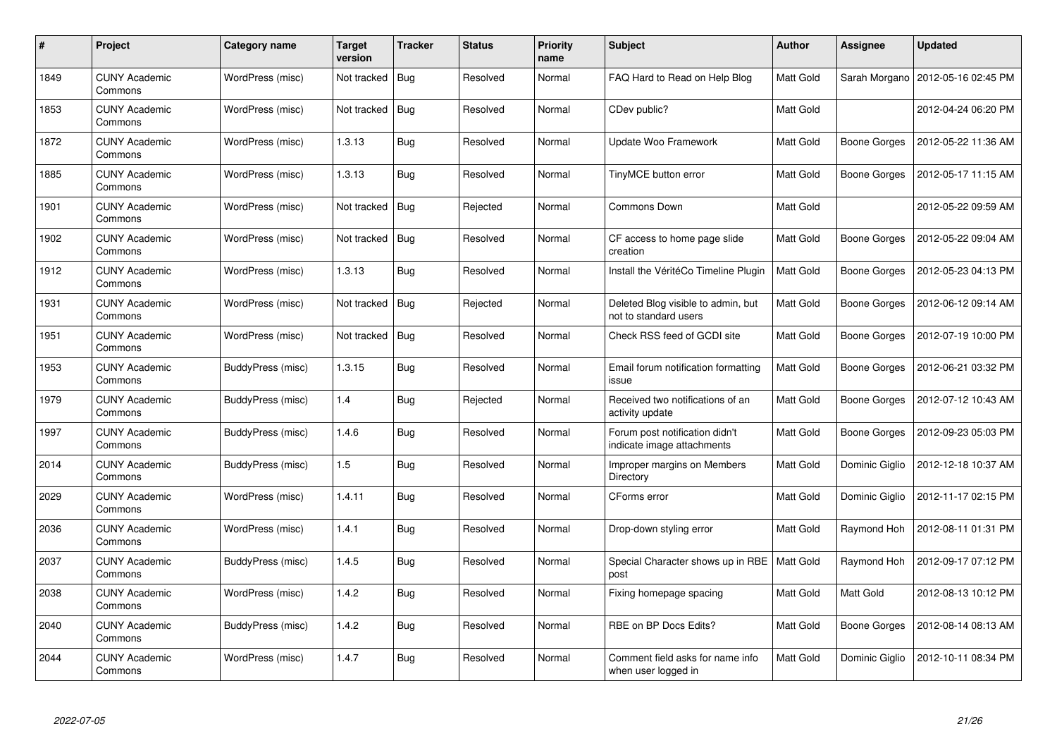| $\#$ | Project                         | Category name     | <b>Target</b><br>version | <b>Tracker</b> | <b>Status</b> | <b>Priority</b><br>name | <b>Subject</b>                                               | <b>Author</b>    | <b>Assignee</b>     | <b>Updated</b>      |
|------|---------------------------------|-------------------|--------------------------|----------------|---------------|-------------------------|--------------------------------------------------------------|------------------|---------------------|---------------------|
| 1849 | <b>CUNY Academic</b><br>Commons | WordPress (misc)  | Not tracked              | Bug            | Resolved      | Normal                  | FAQ Hard to Read on Help Blog                                | <b>Matt Gold</b> | Sarah Morgano       | 2012-05-16 02:45 PM |
| 1853 | <b>CUNY Academic</b><br>Commons | WordPress (misc)  | Not tracked              | Bug            | Resolved      | Normal                  | CDev public?                                                 | Matt Gold        |                     | 2012-04-24 06:20 PM |
| 1872 | <b>CUNY Academic</b><br>Commons | WordPress (misc)  | 1.3.13                   | Bug            | Resolved      | Normal                  | Update Woo Framework                                         | Matt Gold        | <b>Boone Gorges</b> | 2012-05-22 11:36 AM |
| 1885 | <b>CUNY Academic</b><br>Commons | WordPress (misc)  | 1.3.13                   | Bug            | Resolved      | Normal                  | TinyMCE button error                                         | Matt Gold        | Boone Gorges        | 2012-05-17 11:15 AM |
| 1901 | <b>CUNY Academic</b><br>Commons | WordPress (misc)  | Not tracked              | <b>Bug</b>     | Rejected      | Normal                  | Commons Down                                                 | <b>Matt Gold</b> |                     | 2012-05-22 09:59 AM |
| 1902 | <b>CUNY Academic</b><br>Commons | WordPress (misc)  | Not tracked              | Bug            | Resolved      | Normal                  | CF access to home page slide<br>creation                     | Matt Gold        | Boone Gorges        | 2012-05-22 09:04 AM |
| 1912 | <b>CUNY Academic</b><br>Commons | WordPress (misc)  | 1.3.13                   | Bug            | Resolved      | Normal                  | Install the VéritéCo Timeline Plugin                         | Matt Gold        | Boone Gorges        | 2012-05-23 04:13 PM |
| 1931 | <b>CUNY Academic</b><br>Commons | WordPress (misc)  | Not tracked              | Bug            | Rejected      | Normal                  | Deleted Blog visible to admin, but<br>not to standard users  | Matt Gold        | Boone Gorges        | 2012-06-12 09:14 AM |
| 1951 | <b>CUNY Academic</b><br>Commons | WordPress (misc)  | Not tracked              | <b>Bug</b>     | Resolved      | Normal                  | Check RSS feed of GCDI site                                  | Matt Gold        | Boone Gorges        | 2012-07-19 10:00 PM |
| 1953 | <b>CUNY Academic</b><br>Commons | BuddyPress (misc) | 1.3.15                   | Bug            | Resolved      | Normal                  | Email forum notification formatting<br>issue                 | Matt Gold        | Boone Gorges        | 2012-06-21 03:32 PM |
| 1979 | <b>CUNY Academic</b><br>Commons | BuddyPress (misc) | 1.4                      | Bug            | Rejected      | Normal                  | Received two notifications of an<br>activity update          | Matt Gold        | Boone Gorges        | 2012-07-12 10:43 AM |
| 1997 | <b>CUNY Academic</b><br>Commons | BuddyPress (misc) | 1.4.6                    | <b>Bug</b>     | Resolved      | Normal                  | Forum post notification didn't<br>indicate image attachments | Matt Gold        | Boone Gorges        | 2012-09-23 05:03 PM |
| 2014 | <b>CUNY Academic</b><br>Commons | BuddyPress (misc) | 1.5                      | Bug            | Resolved      | Normal                  | Improper margins on Members<br>Directory                     | Matt Gold        | Dominic Giglio      | 2012-12-18 10:37 AM |
| 2029 | <b>CUNY Academic</b><br>Commons | WordPress (misc)  | 1.4.11                   | Bug            | Resolved      | Normal                  | CForms error                                                 | Matt Gold        | Dominic Giglio      | 2012-11-17 02:15 PM |
| 2036 | <b>CUNY Academic</b><br>Commons | WordPress (misc)  | 1.4.1                    | <b>Bug</b>     | Resolved      | Normal                  | Drop-down styling error                                      | Matt Gold        | Raymond Hoh         | 2012-08-11 01:31 PM |
| 2037 | <b>CUNY Academic</b><br>Commons | BuddyPress (misc) | 1.4.5                    | <b>Bug</b>     | Resolved      | Normal                  | Special Character shows up in RBE<br>post                    | <b>Matt Gold</b> | Raymond Hoh         | 2012-09-17 07:12 PM |
| 2038 | <b>CUNY Academic</b><br>Commons | WordPress (misc)  | 1.4.2                    | Bug            | Resolved      | Normal                  | Fixing homepage spacing                                      | Matt Gold        | Matt Gold           | 2012-08-13 10:12 PM |
| 2040 | <b>CUNY Academic</b><br>Commons | BuddyPress (misc) | 1.4.2                    | Bug            | Resolved      | Normal                  | RBE on BP Docs Edits?                                        | Matt Gold        | <b>Boone Gorges</b> | 2012-08-14 08:13 AM |
| 2044 | <b>CUNY Academic</b><br>Commons | WordPress (misc)  | 1.4.7                    | <b>Bug</b>     | Resolved      | Normal                  | Comment field asks for name info<br>when user logged in      | Matt Gold        | Dominic Giglio      | 2012-10-11 08:34 PM |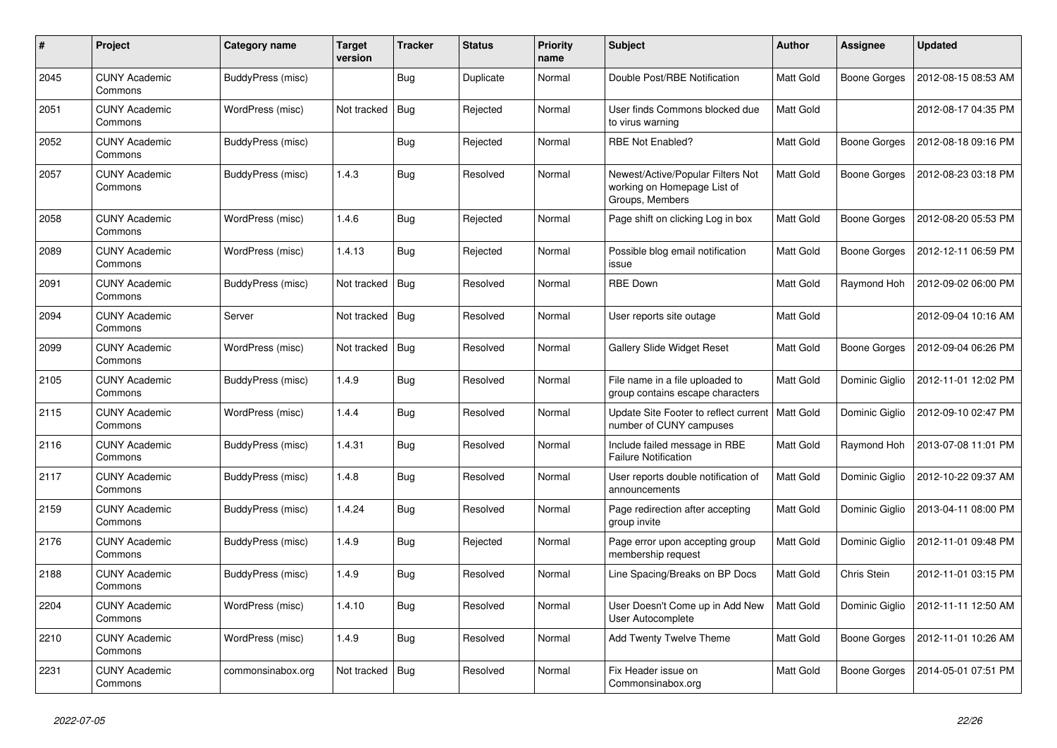| #    | <b>Project</b>                  | Category name     | Target<br>version | <b>Tracker</b> | <b>Status</b> | <b>Priority</b><br>name | <b>Subject</b>                                                                      | <b>Author</b>    | <b>Assignee</b>     | <b>Updated</b>      |
|------|---------------------------------|-------------------|-------------------|----------------|---------------|-------------------------|-------------------------------------------------------------------------------------|------------------|---------------------|---------------------|
| 2045 | <b>CUNY Academic</b><br>Commons | BuddyPress (misc) |                   | Bug            | Duplicate     | Normal                  | Double Post/RBE Notification                                                        | <b>Matt Gold</b> | Boone Gorges        | 2012-08-15 08:53 AM |
| 2051 | <b>CUNY Academic</b><br>Commons | WordPress (misc)  | Not tracked       | Bug            | Rejected      | Normal                  | User finds Commons blocked due<br>to virus warning                                  | Matt Gold        |                     | 2012-08-17 04:35 PM |
| 2052 | <b>CUNY Academic</b><br>Commons | BuddyPress (misc) |                   | Bug            | Rejected      | Normal                  | <b>RBE Not Enabled?</b>                                                             | Matt Gold        | Boone Gorges        | 2012-08-18 09:16 PM |
| 2057 | <b>CUNY Academic</b><br>Commons | BuddyPress (misc) | 1.4.3             | Bug            | Resolved      | Normal                  | Newest/Active/Popular Filters Not<br>working on Homepage List of<br>Groups, Members | Matt Gold        | Boone Gorges        | 2012-08-23 03:18 PM |
| 2058 | <b>CUNY Academic</b><br>Commons | WordPress (misc)  | 1.4.6             | Bug            | Rejected      | Normal                  | Page shift on clicking Log in box                                                   | Matt Gold        | Boone Gorges        | 2012-08-20 05:53 PM |
| 2089 | <b>CUNY Academic</b><br>Commons | WordPress (misc)  | 1.4.13            | Bug            | Rejected      | Normal                  | Possible blog email notification<br>issue                                           | <b>Matt Gold</b> | Boone Gorges        | 2012-12-11 06:59 PM |
| 2091 | <b>CUNY Academic</b><br>Commons | BuddyPress (misc) | Not tracked       | Bug            | Resolved      | Normal                  | <b>RBE Down</b>                                                                     | Matt Gold        | Raymond Hoh         | 2012-09-02 06:00 PM |
| 2094 | <b>CUNY Academic</b><br>Commons | Server            | Not tracked       | <b>Bug</b>     | Resolved      | Normal                  | User reports site outage                                                            | Matt Gold        |                     | 2012-09-04 10:16 AM |
| 2099 | <b>CUNY Academic</b><br>Commons | WordPress (misc)  | Not tracked       | Bug            | Resolved      | Normal                  | Gallery Slide Widget Reset                                                          | Matt Gold        | Boone Gorges        | 2012-09-04 06:26 PM |
| 2105 | <b>CUNY Academic</b><br>Commons | BuddyPress (misc) | 1.4.9             | Bug            | Resolved      | Normal                  | File name in a file uploaded to<br>group contains escape characters                 | Matt Gold        | Dominic Giglio      | 2012-11-01 12:02 PM |
| 2115 | <b>CUNY Academic</b><br>Commons | WordPress (misc)  | 1.4.4             | Bug            | Resolved      | Normal                  | Update Site Footer to reflect current<br>number of CUNY campuses                    | Matt Gold        | Dominic Giglio      | 2012-09-10 02:47 PM |
| 2116 | <b>CUNY Academic</b><br>Commons | BuddyPress (misc) | 1.4.31            | <b>Bug</b>     | Resolved      | Normal                  | Include failed message in RBE<br><b>Failure Notification</b>                        | Matt Gold        | Raymond Hoh         | 2013-07-08 11:01 PM |
| 2117 | <b>CUNY Academic</b><br>Commons | BuddyPress (misc) | 1.4.8             | <b>Bug</b>     | Resolved      | Normal                  | User reports double notification of<br>announcements                                | Matt Gold        | Dominic Giglio      | 2012-10-22 09:37 AM |
| 2159 | <b>CUNY Academic</b><br>Commons | BuddyPress (misc) | 1.4.24            | Bug            | Resolved      | Normal                  | Page redirection after accepting<br>group invite                                    | Matt Gold        | Dominic Giglio      | 2013-04-11 08:00 PM |
| 2176 | <b>CUNY Academic</b><br>Commons | BuddyPress (misc) | 1.4.9             | <b>Bug</b>     | Rejected      | Normal                  | Page error upon accepting group<br>membership request                               | Matt Gold        | Dominic Giglio      | 2012-11-01 09:48 PM |
| 2188 | <b>CUNY Academic</b><br>Commons | BuddyPress (misc) | 1.4.9             | Bug            | Resolved      | Normal                  | Line Spacing/Breaks on BP Docs                                                      | Matt Gold        | Chris Stein         | 2012-11-01 03:15 PM |
| 2204 | <b>CUNY Academic</b><br>Commons | WordPress (misc)  | 1.4.10            | <b>Bug</b>     | Resolved      | Normal                  | User Doesn't Come up in Add New<br>User Autocomplete                                | Matt Gold        | Dominic Giglio      | 2012-11-11 12:50 AM |
| 2210 | <b>CUNY Academic</b><br>Commons | WordPress (misc)  | 1.4.9             | Bug            | Resolved      | Normal                  | Add Twenty Twelve Theme                                                             | Matt Gold        | <b>Boone Gorges</b> | 2012-11-01 10:26 AM |
| 2231 | <b>CUNY Academic</b><br>Commons | commonsinabox.org | Not tracked       | Bug            | Resolved      | Normal                  | Fix Header issue on<br>Commonsinabox.org                                            | Matt Gold        | Boone Gorges        | 2014-05-01 07:51 PM |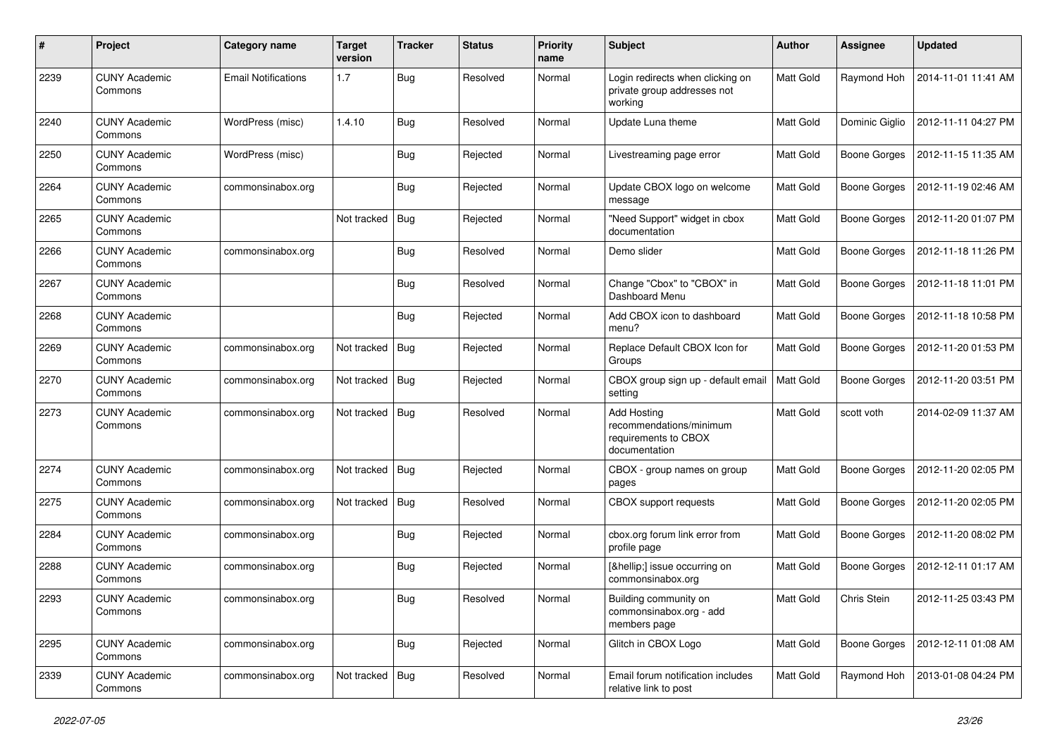| #    | Project                         | Category name              | <b>Target</b><br>version | <b>Tracker</b> | <b>Status</b> | <b>Priority</b><br>name | <b>Subject</b>                                                                  | Author           | <b>Assignee</b>     | <b>Updated</b>      |
|------|---------------------------------|----------------------------|--------------------------|----------------|---------------|-------------------------|---------------------------------------------------------------------------------|------------------|---------------------|---------------------|
| 2239 | <b>CUNY Academic</b><br>Commons | <b>Email Notifications</b> | 1.7                      | <b>Bug</b>     | Resolved      | Normal                  | Login redirects when clicking on<br>private group addresses not<br>working      | Matt Gold        | Raymond Hoh         | 2014-11-01 11:41 AM |
| 2240 | <b>CUNY Academic</b><br>Commons | WordPress (misc)           | 1.4.10                   | Bug            | Resolved      | Normal                  | Update Luna theme                                                               | Matt Gold        | Dominic Giglio      | 2012-11-11 04:27 PM |
| 2250 | <b>CUNY Academic</b><br>Commons | WordPress (misc)           |                          | Bug            | Rejected      | Normal                  | Livestreaming page error                                                        | Matt Gold        | <b>Boone Gorges</b> | 2012-11-15 11:35 AM |
| 2264 | <b>CUNY Academic</b><br>Commons | commonsinabox.org          |                          | Bug            | Rejected      | Normal                  | Update CBOX logo on welcome<br>message                                          | <b>Matt Gold</b> | Boone Gorges        | 2012-11-19 02:46 AM |
| 2265 | <b>CUNY Academic</b><br>Commons |                            | Not tracked              | Bug            | Rejected      | Normal                  | "Need Support" widget in cbox<br>documentation                                  | Matt Gold        | <b>Boone Gorges</b> | 2012-11-20 01:07 PM |
| 2266 | <b>CUNY Academic</b><br>Commons | commonsinabox.org          |                          | Bug            | Resolved      | Normal                  | Demo slider                                                                     | Matt Gold        | <b>Boone Gorges</b> | 2012-11-18 11:26 PM |
| 2267 | <b>CUNY Academic</b><br>Commons |                            |                          | Bug            | Resolved      | Normal                  | Change "Cbox" to "CBOX" in<br>Dashboard Menu                                    | <b>Matt Gold</b> | <b>Boone Gorges</b> | 2012-11-18 11:01 PM |
| 2268 | <b>CUNY Academic</b><br>Commons |                            |                          | Bug            | Rejected      | Normal                  | Add CBOX icon to dashboard<br>menu?                                             | Matt Gold        | <b>Boone Gorges</b> | 2012-11-18 10:58 PM |
| 2269 | <b>CUNY Academic</b><br>Commons | commonsinabox.org          | Not tracked              | Bug            | Rejected      | Normal                  | Replace Default CBOX Icon for<br>Groups                                         | Matt Gold        | <b>Boone Gorges</b> | 2012-11-20 01:53 PM |
| 2270 | <b>CUNY Academic</b><br>Commons | commonsinabox.org          | Not tracked              | <b>Bug</b>     | Rejected      | Normal                  | CBOX group sign up - default email<br>setting                                   | Matt Gold        | <b>Boone Gorges</b> | 2012-11-20 03:51 PM |
| 2273 | <b>CUNY Academic</b><br>Commons | commonsinabox.org          | Not tracked              | Bug            | Resolved      | Normal                  | Add Hosting<br>recommendations/minimum<br>requirements to CBOX<br>documentation | Matt Gold        | scott voth          | 2014-02-09 11:37 AM |
| 2274 | <b>CUNY Academic</b><br>Commons | commonsinabox.org          | Not tracked              | Bug            | Rejected      | Normal                  | CBOX - group names on group<br>pages                                            | Matt Gold        | <b>Boone Gorges</b> | 2012-11-20 02:05 PM |
| 2275 | <b>CUNY Academic</b><br>Commons | commonsinabox.org          | Not tracked              | <b>Bug</b>     | Resolved      | Normal                  | CBOX support requests                                                           | Matt Gold        | <b>Boone Gorges</b> | 2012-11-20 02:05 PM |
| 2284 | <b>CUNY Academic</b><br>Commons | commonsinabox.org          |                          | Bug            | Rejected      | Normal                  | cbox.org forum link error from<br>profile page                                  | <b>Matt Gold</b> | Boone Gorges        | 2012-11-20 08:02 PM |
| 2288 | <b>CUNY Academic</b><br>Commons | commonsinabox.org          |                          | Bug            | Rejected      | Normal                  | […] issue occurring on<br>commonsinabox.org                                     | Matt Gold        | <b>Boone Gorges</b> | 2012-12-11 01:17 AM |
| 2293 | <b>CUNY Academic</b><br>Commons | commonsinabox.org          |                          | <b>Bug</b>     | Resolved      | Normal                  | Building community on<br>commonsinabox.org - add<br>members page                | Matt Gold        | Chris Stein         | 2012-11-25 03:43 PM |
| 2295 | <b>CUNY Academic</b><br>Commons | commonsinabox.org          |                          | Bug            | Rejected      | Normal                  | Glitch in CBOX Logo                                                             | Matt Gold        | <b>Boone Gorges</b> | 2012-12-11 01:08 AM |
| 2339 | <b>CUNY Academic</b><br>Commons | commonsinabox.org          | Not tracked Bug          |                | Resolved      | Normal                  | Email forum notification includes<br>relative link to post                      | Matt Gold        | Raymond Hoh         | 2013-01-08 04:24 PM |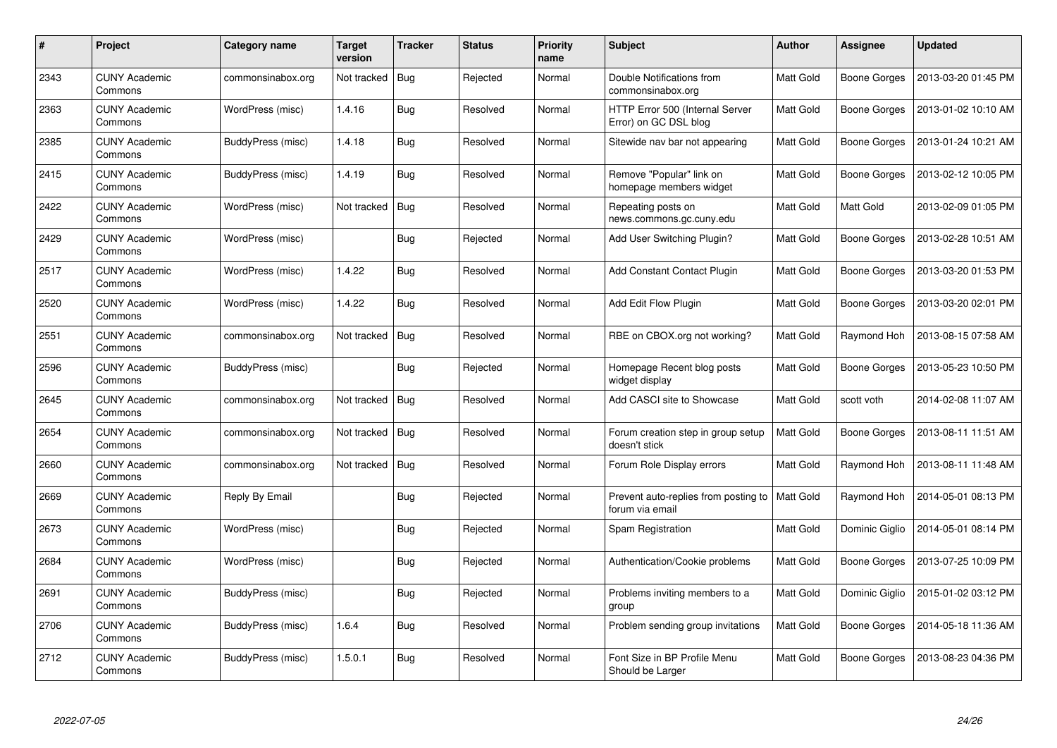| $\#$ | Project                         | Category name     | Target<br>version | <b>Tracker</b> | <b>Status</b> | <b>Priority</b><br>name | <b>Subject</b>                                           | <b>Author</b>    | <b>Assignee</b>     | <b>Updated</b>      |
|------|---------------------------------|-------------------|-------------------|----------------|---------------|-------------------------|----------------------------------------------------------|------------------|---------------------|---------------------|
| 2343 | <b>CUNY Academic</b><br>Commons | commonsinabox.org | Not tracked       | Bug            | Rejected      | Normal                  | Double Notifications from<br>commonsinabox.org           | <b>Matt Gold</b> | <b>Boone Gorges</b> | 2013-03-20 01:45 PM |
| 2363 | <b>CUNY Academic</b><br>Commons | WordPress (misc)  | 1.4.16            | Bug            | Resolved      | Normal                  | HTTP Error 500 (Internal Server<br>Error) on GC DSL blog | Matt Gold        | Boone Gorges        | 2013-01-02 10:10 AM |
| 2385 | <b>CUNY Academic</b><br>Commons | BuddyPress (misc) | 1.4.18            | Bug            | Resolved      | Normal                  | Sitewide nav bar not appearing                           | Matt Gold        | <b>Boone Gorges</b> | 2013-01-24 10:21 AM |
| 2415 | <b>CUNY Academic</b><br>Commons | BuddyPress (misc) | 1.4.19            | Bug            | Resolved      | Normal                  | Remove "Popular" link on<br>homepage members widget      | Matt Gold        | <b>Boone Gorges</b> | 2013-02-12 10:05 PM |
| 2422 | <b>CUNY Academic</b><br>Commons | WordPress (misc)  | Not tracked       | <b>Bug</b>     | Resolved      | Normal                  | Repeating posts on<br>news.commons.gc.cuny.edu           | <b>Matt Gold</b> | Matt Gold           | 2013-02-09 01:05 PM |
| 2429 | <b>CUNY Academic</b><br>Commons | WordPress (misc)  |                   | Bug            | Rejected      | Normal                  | Add User Switching Plugin?                               | Matt Gold        | Boone Gorges        | 2013-02-28 10:51 AM |
| 2517 | <b>CUNY Academic</b><br>Commons | WordPress (misc)  | 1.4.22            | <b>Bug</b>     | Resolved      | Normal                  | <b>Add Constant Contact Plugin</b>                       | Matt Gold        | <b>Boone Gorges</b> | 2013-03-20 01:53 PM |
| 2520 | <b>CUNY Academic</b><br>Commons | WordPress (misc)  | 1.4.22            | Bug            | Resolved      | Normal                  | Add Edit Flow Plugin                                     | Matt Gold        | Boone Gorges        | 2013-03-20 02:01 PM |
| 2551 | <b>CUNY Academic</b><br>Commons | commonsinabox.org | Not tracked       | <b>Bug</b>     | Resolved      | Normal                  | RBE on CBOX.org not working?                             | Matt Gold        | Raymond Hoh         | 2013-08-15 07:58 AM |
| 2596 | <b>CUNY Academic</b><br>Commons | BuddyPress (misc) |                   | <b>Bug</b>     | Rejected      | Normal                  | Homepage Recent blog posts<br>widget display             | Matt Gold        | Boone Gorges        | 2013-05-23 10:50 PM |
| 2645 | <b>CUNY Academic</b><br>Commons | commonsinabox.org | Not tracked       | <b>Bug</b>     | Resolved      | Normal                  | Add CASCI site to Showcase                               | Matt Gold        | scott voth          | 2014-02-08 11:07 AM |
| 2654 | <b>CUNY Academic</b><br>Commons | commonsinabox.org | Not tracked       | <b>Bug</b>     | Resolved      | Normal                  | Forum creation step in group setup<br>doesn't stick      | Matt Gold        | <b>Boone Gorges</b> | 2013-08-11 11:51 AM |
| 2660 | <b>CUNY Academic</b><br>Commons | commonsinabox.org | Not tracked       | Bug            | Resolved      | Normal                  | Forum Role Display errors                                | Matt Gold        | Raymond Hoh         | 2013-08-11 11:48 AM |
| 2669 | <b>CUNY Academic</b><br>Commons | Reply By Email    |                   | Bug            | Rejected      | Normal                  | Prevent auto-replies from posting to<br>forum via email  | Matt Gold        | Raymond Hoh         | 2014-05-01 08:13 PM |
| 2673 | <b>CUNY Academic</b><br>Commons | WordPress (misc)  |                   | <b>Bug</b>     | Rejected      | Normal                  | Spam Registration                                        | Matt Gold        | Dominic Giglio      | 2014-05-01 08:14 PM |
| 2684 | <b>CUNY Academic</b><br>Commons | WordPress (misc)  |                   | <b>Bug</b>     | Rejected      | Normal                  | Authentication/Cookie problems                           | Matt Gold        | Boone Gorges        | 2013-07-25 10:09 PM |
| 2691 | <b>CUNY Academic</b><br>Commons | BuddyPress (misc) |                   | Bug            | Rejected      | Normal                  | Problems inviting members to a<br>group                  | Matt Gold        | Dominic Giglio      | 2015-01-02 03:12 PM |
| 2706 | <b>CUNY Academic</b><br>Commons | BuddyPress (misc) | 1.6.4             | Bug            | Resolved      | Normal                  | Problem sending group invitations                        | Matt Gold        | <b>Boone Gorges</b> | 2014-05-18 11:36 AM |
| 2712 | <b>CUNY Academic</b><br>Commons | BuddyPress (misc) | 1.5.0.1           | <b>Bug</b>     | Resolved      | Normal                  | Font Size in BP Profile Menu<br>Should be Larger         | Matt Gold        | Boone Gorges        | 2013-08-23 04:36 PM |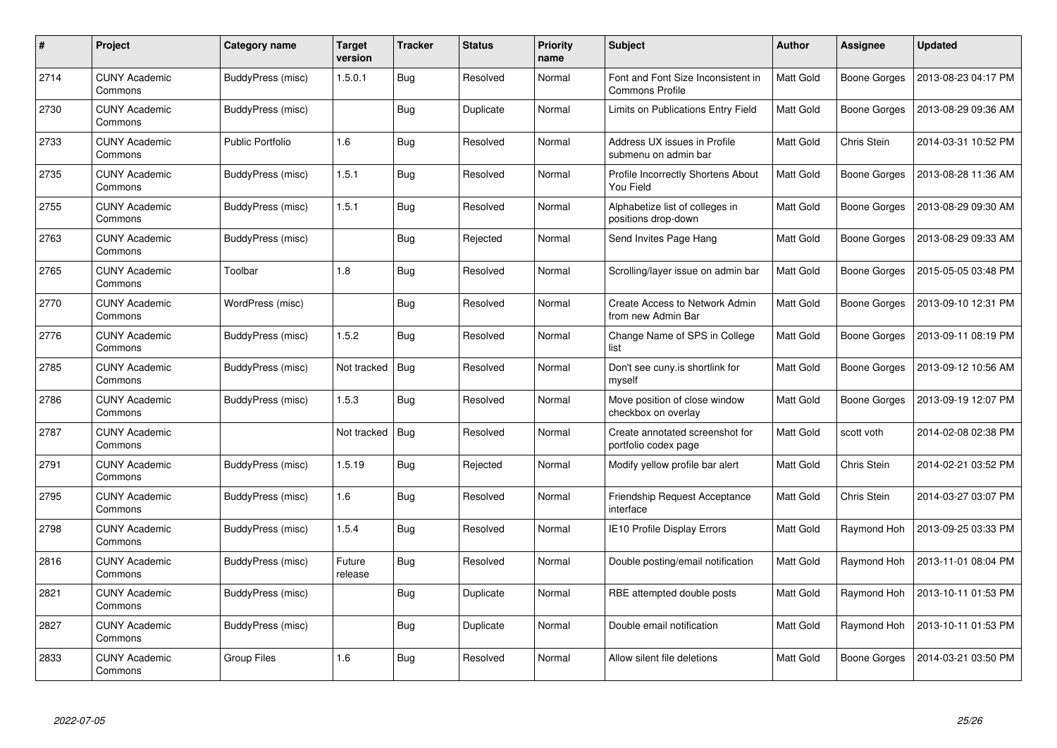| #    | Project                         | <b>Category name</b>    | Target<br>version | <b>Tracker</b> | <b>Status</b> | <b>Priority</b><br>name | <b>Subject</b>                                               | <b>Author</b>    | <b>Assignee</b>     | <b>Updated</b>      |
|------|---------------------------------|-------------------------|-------------------|----------------|---------------|-------------------------|--------------------------------------------------------------|------------------|---------------------|---------------------|
| 2714 | <b>CUNY Academic</b><br>Commons | BuddyPress (misc)       | 1.5.0.1           | Bug            | Resolved      | Normal                  | Font and Font Size Inconsistent in<br><b>Commons Profile</b> | <b>Matt Gold</b> | Boone Gorges        | 2013-08-23 04:17 PM |
| 2730 | <b>CUNY Academic</b><br>Commons | BuddyPress (misc)       |                   | Bug            | Duplicate     | Normal                  | Limits on Publications Entry Field                           | Matt Gold        | Boone Gorges        | 2013-08-29 09:36 AM |
| 2733 | <b>CUNY Academic</b><br>Commons | <b>Public Portfolio</b> | 1.6               | Bug            | Resolved      | Normal                  | Address UX issues in Profile<br>submenu on admin bar         | Matt Gold        | Chris Stein         | 2014-03-31 10:52 PM |
| 2735 | <b>CUNY Academic</b><br>Commons | BuddyPress (misc)       | 1.5.1             | Bug            | Resolved      | Normal                  | Profile Incorrectly Shortens About<br>You Field              | Matt Gold        | <b>Boone Gorges</b> | 2013-08-28 11:36 AM |
| 2755 | <b>CUNY Academic</b><br>Commons | BuddyPress (misc)       | 1.5.1             | Bug            | Resolved      | Normal                  | Alphabetize list of colleges in<br>positions drop-down       | Matt Gold        | Boone Gorges        | 2013-08-29 09:30 AM |
| 2763 | <b>CUNY Academic</b><br>Commons | BuddyPress (misc)       |                   | Bug            | Rejected      | Normal                  | Send Invites Page Hang                                       | Matt Gold        | Boone Gorges        | 2013-08-29 09:33 AM |
| 2765 | <b>CUNY Academic</b><br>Commons | Toolbar                 | 1.8               | <b>Bug</b>     | Resolved      | Normal                  | Scrolling/layer issue on admin bar                           | Matt Gold        | Boone Gorges        | 2015-05-05 03:48 PM |
| 2770 | <b>CUNY Academic</b><br>Commons | WordPress (misc)        |                   | Bug            | Resolved      | Normal                  | Create Access to Network Admin<br>from new Admin Bar         | Matt Gold        | Boone Gorges        | 2013-09-10 12:31 PM |
| 2776 | <b>CUNY Academic</b><br>Commons | BuddyPress (misc)       | 1.5.2             | Bug            | Resolved      | Normal                  | Change Name of SPS in College<br>list                        | Matt Gold        | Boone Gorges        | 2013-09-11 08:19 PM |
| 2785 | <b>CUNY Academic</b><br>Commons | BuddyPress (misc)       | Not tracked       | <b>Bug</b>     | Resolved      | Normal                  | Don't see cuny.is shortlink for<br>myself                    | Matt Gold        | Boone Gorges        | 2013-09-12 10:56 AM |
| 2786 | <b>CUNY Academic</b><br>Commons | BuddyPress (misc)       | 1.5.3             | Bug            | Resolved      | Normal                  | Move position of close window<br>checkbox on overlay         | Matt Gold        | Boone Gorges        | 2013-09-19 12:07 PM |
| 2787 | <b>CUNY Academic</b><br>Commons |                         | Not tracked       | <b>Bug</b>     | Resolved      | Normal                  | Create annotated screenshot for<br>portfolio codex page      | Matt Gold        | scott voth          | 2014-02-08 02:38 PM |
| 2791 | <b>CUNY Academic</b><br>Commons | BuddyPress (misc)       | 1.5.19            | <b>Bug</b>     | Rejected      | Normal                  | Modify yellow profile bar alert                              | Matt Gold        | Chris Stein         | 2014-02-21 03:52 PM |
| 2795 | <b>CUNY Academic</b><br>Commons | BuddyPress (misc)       | 1.6               | Bug            | Resolved      | Normal                  | Friendship Request Acceptance<br>interface                   | Matt Gold        | Chris Stein         | 2014-03-27 03:07 PM |
| 2798 | <b>CUNY Academic</b><br>Commons | BuddyPress (misc)       | 1.5.4             | <b>Bug</b>     | Resolved      | Normal                  | IE10 Profile Display Errors                                  | Matt Gold        | Raymond Hoh         | 2013-09-25 03:33 PM |
| 2816 | <b>CUNY Academic</b><br>Commons | BuddyPress (misc)       | Future<br>release | Bug            | Resolved      | Normal                  | Double posting/email notification                            | Matt Gold        | Raymond Hoh         | 2013-11-01 08:04 PM |
| 2821 | <b>CUNY Academic</b><br>Commons | BuddyPress (misc)       |                   | Bug            | Duplicate     | Normal                  | RBE attempted double posts                                   | Matt Gold        | Raymond Hoh         | 2013-10-11 01:53 PM |
| 2827 | <b>CUNY Academic</b><br>Commons | BuddyPress (misc)       |                   | Bug            | Duplicate     | Normal                  | Double email notification                                    | Matt Gold        | Raymond Hoh         | 2013-10-11 01:53 PM |
| 2833 | <b>CUNY Academic</b><br>Commons | Group Files             | 1.6               | <b>Bug</b>     | Resolved      | Normal                  | Allow silent file deletions                                  | Matt Gold        | Boone Gorges        | 2014-03-21 03:50 PM |